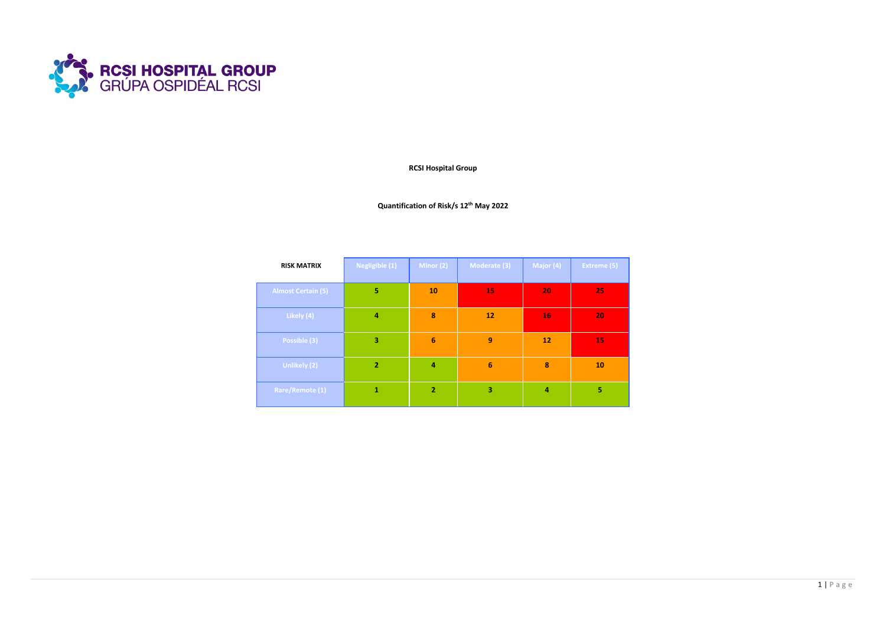

**RCSI Hospital Group**

**Quantification of Risk/s 12th May 2022**

| <b>RISK MATRIX</b>        | Negligible (1) | Minor (2)       | Moderate (3)    | Major (4) | <b>Extreme (5)</b> |
|---------------------------|----------------|-----------------|-----------------|-----------|--------------------|
| <b>Almost Certain (5)</b> | 5              | 10              | 15              | 20        | 25                 |
| Likely (4)                | 4              | 8               | 12              | 16        | 20                 |
| Possible (3)              | 3              | $6\phantom{1}6$ | 9               | 12        | 15                 |
| <b>Unlikely (2)</b>       | $\overline{2}$ | $\overline{a}$  | $6\phantom{1}6$ | 8         | 10                 |
| Rare/Remote (1)           | 1              | $\overline{2}$  | 3               | 4         | 5                  |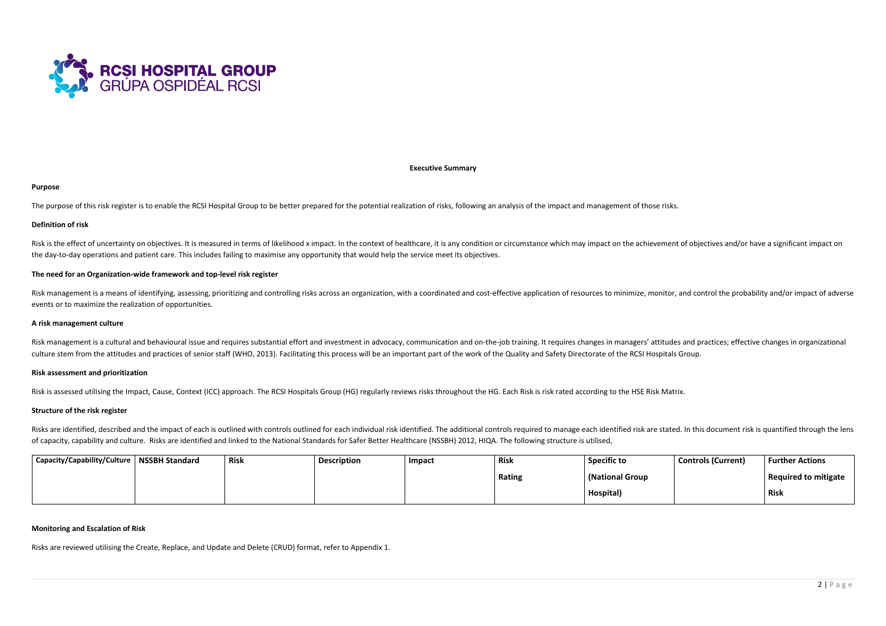

**Executive Summary**

#### **Purpose**

The purpose of this risk register is to enable the RCSI Hospital Group to be better prepared for the potential realization of risks, following an analysis of the impact and management of those risks.

## **Definition of risk**

Risk is the effect of uncertainty on objectives. It is measured in terms of likelihood x impact. In the context of healthcare, it is any condition or circumstance which may impact on the achievement of objectives and/or ha the day-to-day operations and patient care. This includes failing to maximise any opportunity that would help the service meet its objectives.

Risk management is a means of identifying, assessing, prioritizing and controlling risks across an organization, with a coordinated and cost-effective application of resources to minimize, monitor, and control the probabil events or to maximize the realization of opportunities.

# **The need for an Organization-wide framework and top-level risk register**

Risk management is a cultural and behavioural issue and requires substantial effort and investment in advocacy, communication and on-the-job training. It requires changes in managers' attitudes and practices; effective cha culture stem from the attitudes and practices of senior staff (WHO, 2013). Facilitating this process will be an important part of the work of the Quality and Safety Directorate of the RCSI Hospitals Group.

#### **A risk management culture**

Risks are identified, described and the impact of each is outlined with controls outlined for each individual risk identified. The additional controls required to manage each identified risk are stated. In this document ri of capacity, capability and culture. Risks are identified and linked to the National Standards for Safer Better Healthcare (NSSBH) 2012, HIQA. The following structure is utilised,

# **Risk assessment and prioritization**

Risk is assessed utilising the Impact, Cause, Context (ICC) approach. The RCSI Hospitals Group (HG) regularly reviews risks throughout the HG. Each Risk is risk rated according to the HSE Risk Matrix.

## **Structure of the risk register**

| Capacity/Capability/Culture   NSSBH Standard | <b>Risk</b> | <sup>1</sup> Description | Impact | <b>Risk</b> | <b>Specific to</b> | <b>Controls (Current)</b> | <b>Further Actions</b> |
|----------------------------------------------|-------------|--------------------------|--------|-------------|--------------------|---------------------------|------------------------|
|                                              |             |                          |        | Rating      | (National Group    |                           | Required to mitigate   |
|                                              |             |                          |        |             | Hospital)          |                           | <b>Risk</b>            |

### **Monitoring and Escalation of Risk**

Risks are reviewed utilising the Create, Replace, and Update and Delete (CRUD) format, refer to Appendix 1.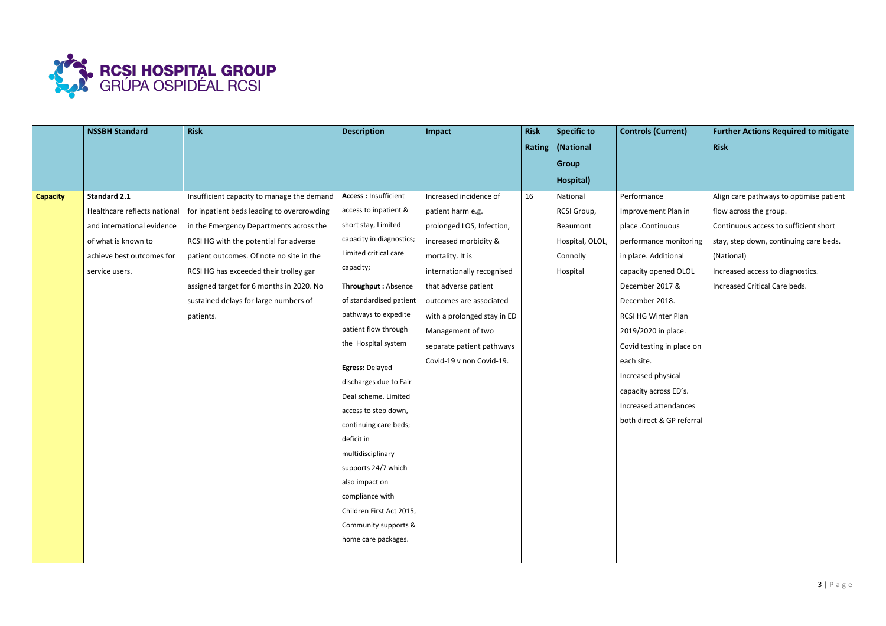

|                 | <b>NSSBH Standard</b>      | <b>Risk</b>                                                               | <b>Description</b>                             | Impact                      | <b>Risk</b> | <b>Specific to</b> | <b>Controls (Current)</b> | <b>Further Actions Required to mitigate</b> |
|-----------------|----------------------------|---------------------------------------------------------------------------|------------------------------------------------|-----------------------------|-------------|--------------------|---------------------------|---------------------------------------------|
|                 |                            |                                                                           |                                                |                             |             | Rating   (National |                           | <b>Risk</b>                                 |
|                 |                            |                                                                           |                                                |                             |             | <b>Group</b>       |                           |                                             |
|                 |                            |                                                                           |                                                |                             |             | Hospital)          |                           |                                             |
| <b>Capacity</b> | <b>Standard 2.1</b>        | Insufficient capacity to manage the demand                                | <b>Access: Insufficient</b>                    | Increased incidence of      | 16          | National           | Performance               | Align care pathways to optimise patient     |
|                 |                            | Healthcare reflects national   for inpatient beds leading to overcrowding | access to inpatient &                          | patient harm e.g.           |             | RCSI Group,        | Improvement Plan in       | flow across the group.                      |
|                 | and international evidence | in the Emergency Departments across the                                   | short stay, Limited                            | prolonged LOS, Infection,   |             | Beaumont           | place .Continuous         | Continuous access to sufficient short       |
|                 | of what is known to        | RCSI HG with the potential for adverse                                    | capacity in diagnostics;                       | increased morbidity &       |             | Hospital, OLOL,    | performance monitoring    | stay, step down, continuing care beds.      |
|                 | achieve best outcomes for  | patient outcomes. Of note no site in the                                  | Limited critical care                          | mortality. It is            |             | Connolly           | in place. Additional      | (National)                                  |
|                 | service users.             | RCSI HG has exceeded their trolley gar                                    | capacity;                                      | internationally recognised  |             | Hospital           | capacity opened OLOL      | Increased access to diagnostics.            |
|                 |                            | assigned target for 6 months in 2020. No                                  | Throughput: Absence                            | that adverse patient        |             |                    | December 2017 &           | Increased Critical Care beds.               |
|                 |                            | sustained delays for large numbers of                                     | of standardised patient                        | outcomes are associated     |             |                    | December 2018.            |                                             |
|                 |                            | patients.                                                                 | pathways to expedite                           | with a prolonged stay in ED |             |                    | RCSI HG Winter Plan       |                                             |
|                 |                            |                                                                           | patient flow through                           | Management of two           |             |                    | 2019/2020 in place.       |                                             |
|                 |                            |                                                                           | the Hospital system                            | separate patient pathways   |             |                    | Covid testing in place on |                                             |
|                 |                            |                                                                           |                                                | Covid-19 v non Covid-19.    |             |                    | each site.                |                                             |
|                 |                            |                                                                           | Egress: Delayed                                |                             |             |                    | Increased physical        |                                             |
|                 |                            |                                                                           | discharges due to Fair<br>Deal scheme. Limited |                             |             |                    | capacity across ED's.     |                                             |
|                 |                            |                                                                           | access to step down,                           |                             |             |                    | Increased attendances     |                                             |
|                 |                            |                                                                           | continuing care beds;                          |                             |             |                    | both direct & GP referral |                                             |
|                 |                            |                                                                           | deficit in                                     |                             |             |                    |                           |                                             |
|                 |                            |                                                                           | multidisciplinary                              |                             |             |                    |                           |                                             |
|                 |                            |                                                                           | supports 24/7 which                            |                             |             |                    |                           |                                             |
|                 |                            |                                                                           | also impact on                                 |                             |             |                    |                           |                                             |
|                 |                            |                                                                           | compliance with                                |                             |             |                    |                           |                                             |
|                 |                            |                                                                           | Children First Act 2015,                       |                             |             |                    |                           |                                             |
|                 |                            |                                                                           | Community supports &                           |                             |             |                    |                           |                                             |
|                 |                            |                                                                           | home care packages.                            |                             |             |                    |                           |                                             |
|                 |                            |                                                                           |                                                |                             |             |                    |                           |                                             |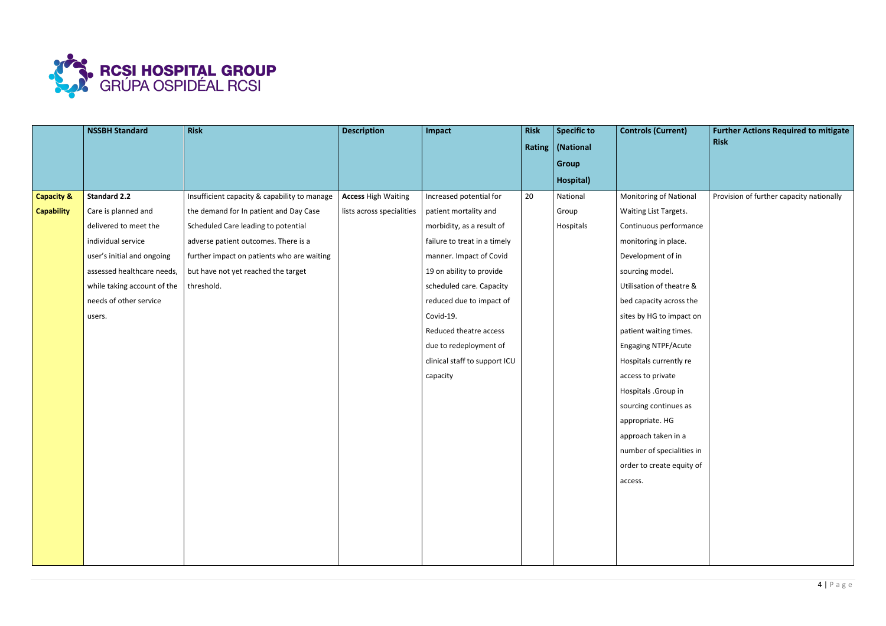

|                       | <b>NSSBH Standard</b>       | <b>Risk</b>                                  | <b>Description</b>         | Impact                        | <b>Risk</b> | <b>Specific to</b> | <b>Controls (Current)</b>     | <b>Further Actions Required to mitigate</b> |
|-----------------------|-----------------------------|----------------------------------------------|----------------------------|-------------------------------|-------------|--------------------|-------------------------------|---------------------------------------------|
|                       |                             |                                              |                            |                               |             | Rating   (National |                               | <b>Risk</b>                                 |
|                       |                             |                                              |                            |                               |             | <b>Group</b>       |                               |                                             |
|                       |                             |                                              |                            |                               |             | Hospital)          |                               |                                             |
| <b>Capacity &amp;</b> | <b>Standard 2.2</b>         | Insufficient capacity & capability to manage | <b>Access High Waiting</b> | Increased potential for       | 20          | National           | <b>Monitoring of National</b> | Provision of further capacity nationally    |
| <b>Capability</b>     | Care is planned and         | the demand for In patient and Day Case       | lists across specialities  | patient mortality and         |             | Group              | Waiting List Targets.         |                                             |
|                       | delivered to meet the       | Scheduled Care leading to potential          |                            | morbidity, as a result of     |             | Hospitals          | Continuous performance        |                                             |
|                       | individual service          | adverse patient outcomes. There is a         |                            | failure to treat in a timely  |             |                    | monitoring in place.          |                                             |
|                       | user's initial and ongoing  | further impact on patients who are waiting   |                            | manner. Impact of Covid       |             |                    | Development of in             |                                             |
|                       | assessed healthcare needs,  | but have not yet reached the target          |                            | 19 on ability to provide      |             |                    | sourcing model.               |                                             |
|                       | while taking account of the | threshold.                                   |                            | scheduled care. Capacity      |             |                    | Utilisation of theatre &      |                                             |
|                       | needs of other service      |                                              |                            | reduced due to impact of      |             |                    | bed capacity across the       |                                             |
|                       | users.                      |                                              |                            | Covid-19.                     |             |                    | sites by HG to impact on      |                                             |
|                       |                             |                                              |                            | Reduced theatre access        |             |                    | patient waiting times.        |                                             |
|                       |                             |                                              |                            | due to redeployment of        |             |                    | <b>Engaging NTPF/Acute</b>    |                                             |
|                       |                             |                                              |                            | clinical staff to support ICU |             |                    | Hospitals currently re        |                                             |
|                       |                             |                                              |                            | capacity                      |             |                    | access to private             |                                             |
|                       |                             |                                              |                            |                               |             |                    | Hospitals .Group in           |                                             |
|                       |                             |                                              |                            |                               |             |                    | sourcing continues as         |                                             |
|                       |                             |                                              |                            |                               |             |                    | appropriate. HG               |                                             |
|                       |                             |                                              |                            |                               |             |                    | approach taken in a           |                                             |
|                       |                             |                                              |                            |                               |             |                    | number of specialities in     |                                             |
|                       |                             |                                              |                            |                               |             |                    | order to create equity of     |                                             |
|                       |                             |                                              |                            |                               |             |                    | access.                       |                                             |
|                       |                             |                                              |                            |                               |             |                    |                               |                                             |
|                       |                             |                                              |                            |                               |             |                    |                               |                                             |
|                       |                             |                                              |                            |                               |             |                    |                               |                                             |
|                       |                             |                                              |                            |                               |             |                    |                               |                                             |
|                       |                             |                                              |                            |                               |             |                    |                               |                                             |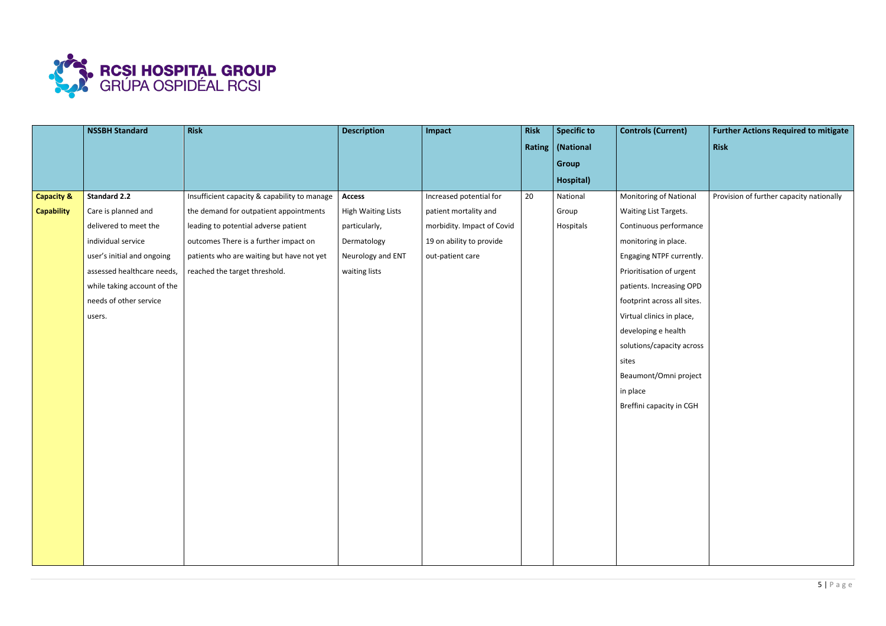

|                       | <b>NSSBH Standard</b>       | Risk                                         | <b>Description</b>        | Impact                     | <b>Risk</b> | <b>Specific to</b> | <b>Controls (Current)</b>     | <b>Further Actions Required to mitigate</b> |
|-----------------------|-----------------------------|----------------------------------------------|---------------------------|----------------------------|-------------|--------------------|-------------------------------|---------------------------------------------|
|                       |                             |                                              |                           |                            |             | Rating   (National |                               | Risk                                        |
|                       |                             |                                              |                           |                            |             | <b>Group</b>       |                               |                                             |
|                       |                             |                                              |                           |                            |             | Hospital)          |                               |                                             |
| <b>Capacity &amp;</b> | <b>Standard 2.2</b>         | Insufficient capacity & capability to manage | <b>Access</b>             | Increased potential for    | 20          | National           | <b>Monitoring of National</b> | Provision of further capacity nationally    |
| <b>Capability</b>     | Care is planned and         | the demand for outpatient appointments       | <b>High Waiting Lists</b> | patient mortality and      |             | Group              | Waiting List Targets.         |                                             |
|                       | delivered to meet the       | leading to potential adverse patient         | particularly,             | morbidity. Impact of Covid |             | Hospitals          | Continuous performance        |                                             |
|                       | individual service          | outcomes There is a further impact on        | Dermatology               | 19 on ability to provide   |             |                    | monitoring in place.          |                                             |
|                       | user's initial and ongoing  | patients who are waiting but have not yet    | Neurology and ENT         | out-patient care           |             |                    | Engaging NTPF currently.      |                                             |
|                       | assessed healthcare needs,  | reached the target threshold.                | waiting lists             |                            |             |                    | Prioritisation of urgent      |                                             |
|                       | while taking account of the |                                              |                           |                            |             |                    | patients. Increasing OPD      |                                             |
|                       | needs of other service      |                                              |                           |                            |             |                    | footprint across all sites.   |                                             |
|                       | users.                      |                                              |                           |                            |             |                    | Virtual clinics in place,     |                                             |
|                       |                             |                                              |                           |                            |             |                    | developing e health           |                                             |
|                       |                             |                                              |                           |                            |             |                    | solutions/capacity across     |                                             |
|                       |                             |                                              |                           |                            |             |                    | sites                         |                                             |
|                       |                             |                                              |                           |                            |             |                    | Beaumont/Omni project         |                                             |
|                       |                             |                                              |                           |                            |             |                    | in place                      |                                             |
|                       |                             |                                              |                           |                            |             |                    | Breffini capacity in CGH      |                                             |
|                       |                             |                                              |                           |                            |             |                    |                               |                                             |
|                       |                             |                                              |                           |                            |             |                    |                               |                                             |
|                       |                             |                                              |                           |                            |             |                    |                               |                                             |
|                       |                             |                                              |                           |                            |             |                    |                               |                                             |
|                       |                             |                                              |                           |                            |             |                    |                               |                                             |
|                       |                             |                                              |                           |                            |             |                    |                               |                                             |
|                       |                             |                                              |                           |                            |             |                    |                               |                                             |
|                       |                             |                                              |                           |                            |             |                    |                               |                                             |
|                       |                             |                                              |                           |                            |             |                    |                               |                                             |
|                       |                             |                                              |                           |                            |             |                    |                               |                                             |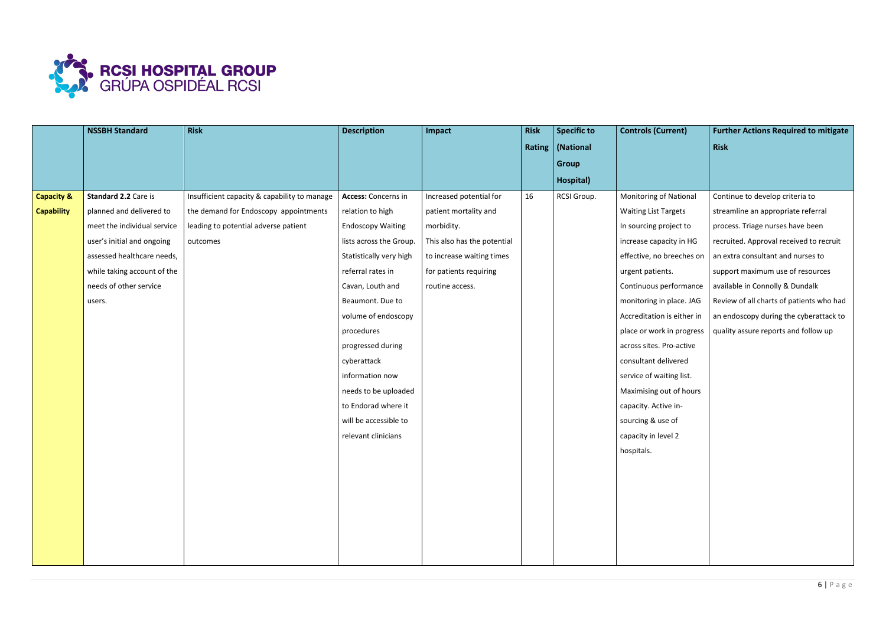

|                       | <b>NSSBH Standard</b>       | <b>Risk</b>                                  | <b>Description</b>         | Impact                      | <b>Risk</b> | <b>Specific to</b> | <b>Controls (Current)</b>     | <b>Further Actions Required to mitigate</b> |
|-----------------------|-----------------------------|----------------------------------------------|----------------------------|-----------------------------|-------------|--------------------|-------------------------------|---------------------------------------------|
|                       |                             |                                              |                            |                             |             | Rating   (National |                               | <b>Risk</b>                                 |
|                       |                             |                                              |                            |                             |             | <b>Group</b>       |                               |                                             |
|                       |                             |                                              |                            |                             |             | Hospital)          |                               |                                             |
| <b>Capacity &amp;</b> | Standard 2.2 Care is        | Insufficient capacity & capability to manage | <b>Access: Concerns in</b> | Increased potential for     | 16          | RCSI Group.        | <b>Monitoring of National</b> | Continue to develop criteria to             |
| <b>Capability</b>     | planned and delivered to    | the demand for Endoscopy appointments        | relation to high           | patient mortality and       |             |                    | <b>Waiting List Targets</b>   | streamline an appropriate referral          |
|                       | meet the individual service | leading to potential adverse patient         | <b>Endoscopy Waiting</b>   | morbidity.                  |             |                    | In sourcing project to        | process. Triage nurses have been            |
|                       | user's initial and ongoing  | outcomes                                     | lists across the Group.    | This also has the potential |             |                    | increase capacity in HG       | recruited. Approval received to recruit     |
|                       | assessed healthcare needs,  |                                              | Statistically very high    | to increase waiting times   |             |                    | effective, no breeches on     | an extra consultant and nurses to           |
|                       | while taking account of the |                                              | referral rates in          | for patients requiring      |             |                    | urgent patients.              | support maximum use of resources            |
|                       | needs of other service      |                                              | Cavan, Louth and           | routine access.             |             |                    | Continuous performance        | available in Connolly & Dundalk             |
|                       | users.                      |                                              | Beaumont. Due to           |                             |             |                    | monitoring in place. JAG      | Review of all charts of patients who had    |
|                       |                             |                                              | volume of endoscopy        |                             |             |                    | Accreditation is either in    | an endoscopy during the cyberattack to      |
|                       |                             |                                              | procedures                 |                             |             |                    | place or work in progress     | quality assure reports and follow up        |
|                       |                             |                                              | progressed during          |                             |             |                    | across sites. Pro-active      |                                             |
|                       |                             |                                              | cyberattack                |                             |             |                    | consultant delivered          |                                             |
|                       |                             |                                              | information now            |                             |             |                    | service of waiting list.      |                                             |
|                       |                             |                                              | needs to be uploaded       |                             |             |                    | Maximising out of hours       |                                             |
|                       |                             |                                              | to Endorad where it        |                             |             |                    | capacity. Active in-          |                                             |
|                       |                             |                                              | will be accessible to      |                             |             |                    | sourcing & use of             |                                             |
|                       |                             |                                              | relevant clinicians        |                             |             |                    | capacity in level 2           |                                             |
|                       |                             |                                              |                            |                             |             |                    | hospitals.                    |                                             |
|                       |                             |                                              |                            |                             |             |                    |                               |                                             |
|                       |                             |                                              |                            |                             |             |                    |                               |                                             |
|                       |                             |                                              |                            |                             |             |                    |                               |                                             |
|                       |                             |                                              |                            |                             |             |                    |                               |                                             |
|                       |                             |                                              |                            |                             |             |                    |                               |                                             |
|                       |                             |                                              |                            |                             |             |                    |                               |                                             |
|                       |                             |                                              |                            |                             |             |                    |                               |                                             |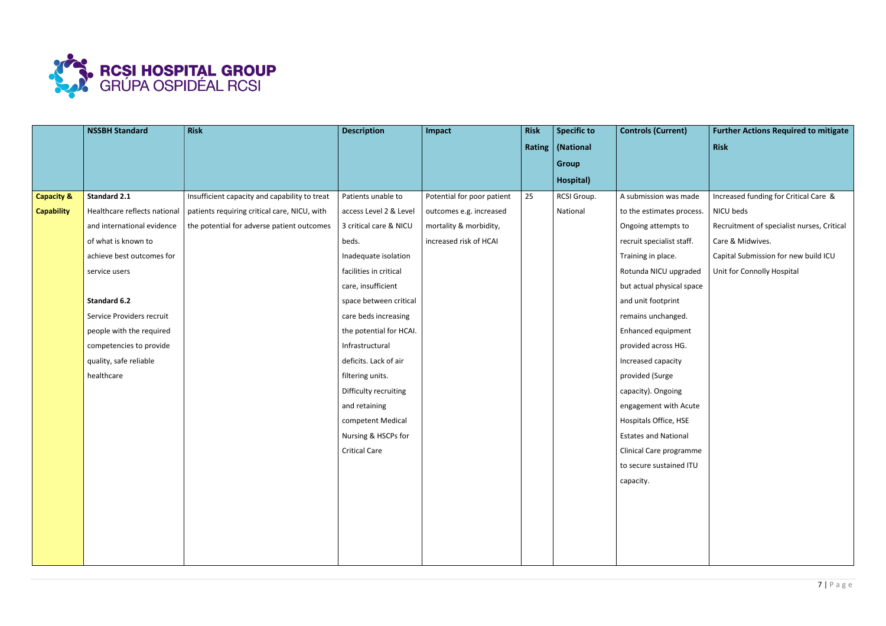

|                       | <b>NSSBH Standard</b>        | <b>Risk</b>                                   | <b>Description</b>      | Impact                     | <b>Risk</b> | <b>Specific to</b> | <b>Controls (Current)</b>   | <b>Further Actions Required to mitigate</b> |
|-----------------------|------------------------------|-----------------------------------------------|-------------------------|----------------------------|-------------|--------------------|-----------------------------|---------------------------------------------|
|                       |                              |                                               |                         |                            |             | Rating   (National |                             | <b>Risk</b>                                 |
|                       |                              |                                               |                         |                            |             | <b>Group</b>       |                             |                                             |
|                       |                              |                                               |                         |                            |             | Hospital)          |                             |                                             |
| <b>Capacity &amp;</b> | <b>Standard 2.1</b>          | Insufficient capacity and capability to treat | Patients unable to      | Potential for poor patient | 25          | RCSI Group.        | A submission was made       | Increased funding for Critical Care &       |
| <b>Capability</b>     | Healthcare reflects national | patients requiring critical care, NICU, with  | access Level 2 & Level  | outcomes e.g. increased    |             | National           | to the estimates process.   | NICU beds                                   |
|                       | and international evidence   | the potential for adverse patient outcomes    | 3 critical care & NICU  | mortality & morbidity,     |             |                    | Ongoing attempts to         | Recruitment of specialist nurses, Critical  |
|                       | of what is known to          |                                               | beds.                   | increased risk of HCAI     |             |                    | recruit specialist staff.   | Care & Midwives.                            |
|                       | achieve best outcomes for    |                                               | Inadequate isolation    |                            |             |                    | Training in place.          | Capital Submission for new build ICU        |
|                       | service users                |                                               | facilities in critical  |                            |             |                    | Rotunda NICU upgraded       | Unit for Connolly Hospital                  |
|                       |                              |                                               | care, insufficient      |                            |             |                    | but actual physical space   |                                             |
|                       | <b>Standard 6.2</b>          |                                               | space between critical  |                            |             |                    | and unit footprint          |                                             |
|                       | Service Providers recruit    |                                               | care beds increasing    |                            |             |                    | remains unchanged.          |                                             |
|                       | people with the required     |                                               | the potential for HCAI. |                            |             |                    | Enhanced equipment          |                                             |
|                       | competencies to provide      |                                               | Infrastructural         |                            |             |                    | provided across HG.         |                                             |
|                       | quality, safe reliable       |                                               | deficits. Lack of air   |                            |             |                    | Increased capacity          |                                             |
|                       | healthcare                   |                                               | filtering units.        |                            |             |                    | provided (Surge             |                                             |
|                       |                              |                                               | Difficulty recruiting   |                            |             |                    | capacity). Ongoing          |                                             |
|                       |                              |                                               | and retaining           |                            |             |                    | engagement with Acute       |                                             |
|                       |                              |                                               | competent Medical       |                            |             |                    | Hospitals Office, HSE       |                                             |
|                       |                              |                                               | Nursing & HSCPs for     |                            |             |                    | <b>Estates and National</b> |                                             |
|                       |                              |                                               | <b>Critical Care</b>    |                            |             |                    | Clinical Care programme     |                                             |
|                       |                              |                                               |                         |                            |             |                    | to secure sustained ITU     |                                             |
|                       |                              |                                               |                         |                            |             |                    | capacity.                   |                                             |
|                       |                              |                                               |                         |                            |             |                    |                             |                                             |
|                       |                              |                                               |                         |                            |             |                    |                             |                                             |
|                       |                              |                                               |                         |                            |             |                    |                             |                                             |
|                       |                              |                                               |                         |                            |             |                    |                             |                                             |
|                       |                              |                                               |                         |                            |             |                    |                             |                                             |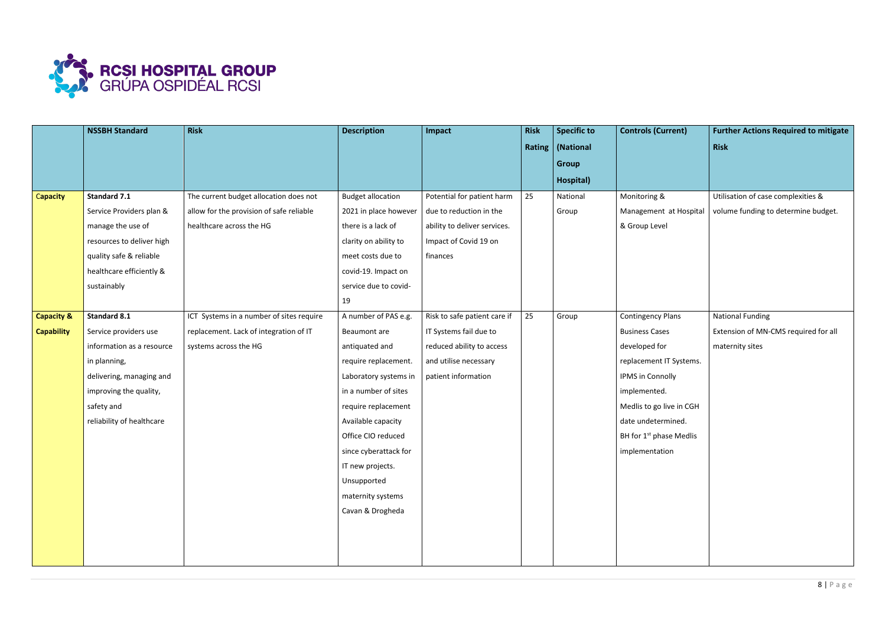

|                   | <b>NSSBH Standard</b>     | <b>Risk</b>                              | <b>Description</b>       | Impact                       | <b>Risk</b> | <b>Specific to</b> | <b>Controls (Current)</b>           | <b>Further Actions Required to mitigate</b> |
|-------------------|---------------------------|------------------------------------------|--------------------------|------------------------------|-------------|--------------------|-------------------------------------|---------------------------------------------|
|                   |                           |                                          |                          |                              |             | Rating   (National |                                     | <b>Risk</b>                                 |
|                   |                           |                                          |                          |                              |             | Group              |                                     |                                             |
|                   |                           |                                          |                          |                              |             | Hospital)          |                                     |                                             |
| Capacity          | <b>Standard 7.1</b>       | The current budget allocation does not   | <b>Budget allocation</b> | Potential for patient harm   | 25          | National           | Monitoring &                        | Utilisation of case complexities &          |
|                   | Service Providers plan &  | allow for the provision of safe reliable | 2021 in place however    | due to reduction in the      |             | Group              | Management at Hospital              | volume funding to determine budget.         |
|                   | manage the use of         | healthcare across the HG                 | there is a lack of       | ability to deliver services. |             |                    | & Group Level                       |                                             |
|                   | resources to deliver high |                                          | clarity on ability to    | Impact of Covid 19 on        |             |                    |                                     |                                             |
|                   | quality safe & reliable   |                                          | meet costs due to        | finances                     |             |                    |                                     |                                             |
|                   | healthcare efficiently &  |                                          | covid-19. Impact on      |                              |             |                    |                                     |                                             |
|                   | sustainably               |                                          | service due to covid-    |                              |             |                    |                                     |                                             |
|                   |                           |                                          | 19                       |                              |             |                    |                                     |                                             |
| Capacity &        | <b>Standard 8.1</b>       | ICT Systems in a number of sites require | A number of PAS e.g.     | Risk to safe patient care if | 25          | Group              | <b>Contingency Plans</b>            | <b>National Funding</b>                     |
| <b>Capability</b> | Service providers use     | replacement. Lack of integration of IT   | Beaumont are             | IT Systems fail due to       |             |                    | <b>Business Cases</b>               | Extension of MN-CMS required for all        |
|                   | information as a resource | systems across the HG                    | antiquated and           | reduced ability to access    |             |                    | developed for                       | maternity sites                             |
|                   | in planning,              |                                          | require replacement.     | and utilise necessary        |             |                    | replacement IT Systems.             |                                             |
|                   | delivering, managing and  |                                          | Laboratory systems in    | patient information          |             |                    | IPMS in Connolly                    |                                             |
|                   | improving the quality,    |                                          | in a number of sites     |                              |             |                    | implemented.                        |                                             |
|                   | safety and                |                                          | require replacement      |                              |             |                    | Medlis to go live in CGH            |                                             |
|                   | reliability of healthcare |                                          | Available capacity       |                              |             |                    | date undetermined.                  |                                             |
|                   |                           |                                          | Office CIO reduced       |                              |             |                    | BH for 1 <sup>st</sup> phase Medlis |                                             |
|                   |                           |                                          | since cyberattack for    |                              |             |                    | implementation                      |                                             |
|                   |                           |                                          | IT new projects.         |                              |             |                    |                                     |                                             |
|                   |                           |                                          | Unsupported              |                              |             |                    |                                     |                                             |
|                   |                           |                                          | maternity systems        |                              |             |                    |                                     |                                             |
|                   |                           |                                          | Cavan & Drogheda         |                              |             |                    |                                     |                                             |
|                   |                           |                                          |                          |                              |             |                    |                                     |                                             |
|                   |                           |                                          |                          |                              |             |                    |                                     |                                             |
|                   |                           |                                          |                          |                              |             |                    |                                     |                                             |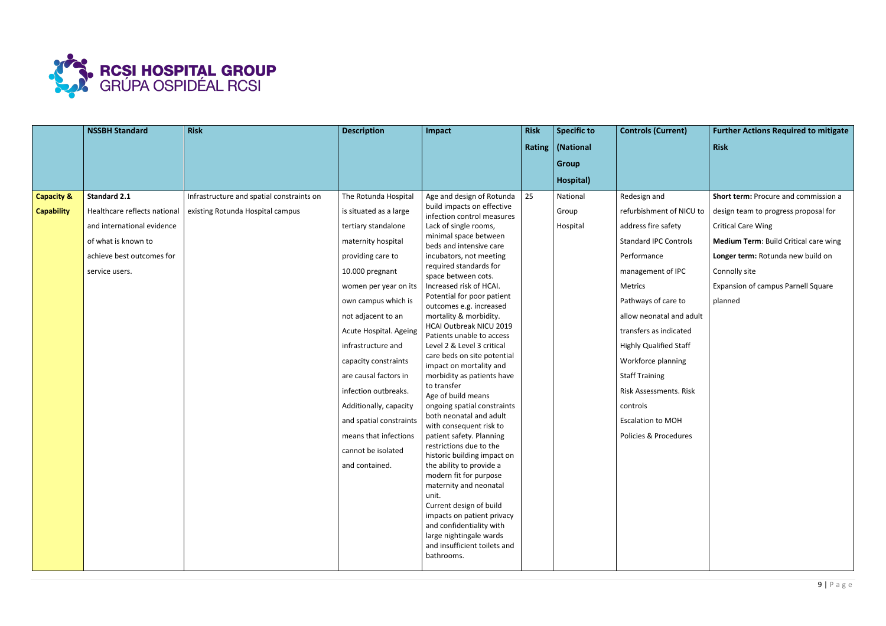

|                                            | <b>NSSBH Standard</b>                                                                                                                                   | <b>Risk</b>                                                                   | <b>Description</b>                                                                                                                                                                                                                          | Impact                                                                                                                                                                                                                                                                                                                                                                                                                                                                                                                                                                                                                                            | <b>Risk</b> | <b>Specific to</b>            | <b>Controls (Current)</b>                                                                                                                                                                         | <b>Further Actions Required to mitigate</b>                                                                                                                                                                                                                      |
|--------------------------------------------|---------------------------------------------------------------------------------------------------------------------------------------------------------|-------------------------------------------------------------------------------|---------------------------------------------------------------------------------------------------------------------------------------------------------------------------------------------------------------------------------------------|---------------------------------------------------------------------------------------------------------------------------------------------------------------------------------------------------------------------------------------------------------------------------------------------------------------------------------------------------------------------------------------------------------------------------------------------------------------------------------------------------------------------------------------------------------------------------------------------------------------------------------------------------|-------------|-------------------------------|---------------------------------------------------------------------------------------------------------------------------------------------------------------------------------------------------|------------------------------------------------------------------------------------------------------------------------------------------------------------------------------------------------------------------------------------------------------------------|
|                                            |                                                                                                                                                         |                                                                               |                                                                                                                                                                                                                                             |                                                                                                                                                                                                                                                                                                                                                                                                                                                                                                                                                                                                                                                   |             | Rating   (National            |                                                                                                                                                                                                   | <b>Risk</b>                                                                                                                                                                                                                                                      |
|                                            |                                                                                                                                                         |                                                                               |                                                                                                                                                                                                                                             |                                                                                                                                                                                                                                                                                                                                                                                                                                                                                                                                                                                                                                                   |             | <b>Group</b>                  |                                                                                                                                                                                                   |                                                                                                                                                                                                                                                                  |
|                                            |                                                                                                                                                         |                                                                               |                                                                                                                                                                                                                                             |                                                                                                                                                                                                                                                                                                                                                                                                                                                                                                                                                                                                                                                   |             | Hospital)                     |                                                                                                                                                                                                   |                                                                                                                                                                                                                                                                  |
| <b>Capacity &amp;</b><br><b>Capability</b> | <b>Standard 2.1</b><br>Healthcare reflects national<br>and international evidence<br>of what is known to<br>achieve best outcomes for<br>service users. | Infrastructure and spatial constraints on<br>existing Rotunda Hospital campus | The Rotunda Hospital<br>is situated as a large<br>tertiary standalone<br>maternity hospital<br>providing care to<br>10.000 pregnant<br>women per year on its<br>own campus which is<br>not adjacent to an                                   | Age and design of Rotunda<br>build impacts on effective<br>infection control measures<br>Lack of single rooms,<br>minimal space between<br>beds and intensive care<br>incubators, not meeting<br>required standards for<br>space between cots.<br>Increased risk of HCAI.<br>Potential for poor patient<br>outcomes e.g. increased<br>mortality & morbidity.                                                                                                                                                                                                                                                                                      | 25          | National<br>Group<br>Hospital | Redesign and<br>refurbishment of NICU to<br>address fire safety<br><b>Standard IPC Controls</b><br>Performance<br>management of IPC<br>Metrics<br>Pathways of care to<br>allow neonatal and adult | Short term: Procure and commission a<br>design team to progress proposal for<br><b>Critical Care Wing</b><br>Medium Term: Build Critical care wing<br>Longer term: Rotunda new build on<br>Connolly site<br><b>Expansion of campus Parnell Square</b><br>planned |
|                                            |                                                                                                                                                         |                                                                               | Acute Hospital. Ageing<br>infrastructure and<br>capacity constraints<br>are causal factors in<br>infection outbreaks.<br>Additionally, capacity<br>and spatial constraints<br>means that infections<br>cannot be isolated<br>and contained. | HCAI Outbreak NICU 2019<br>Patients unable to access<br>Level 2 & Level 3 critical<br>care beds on site potential<br>impact on mortality and<br>morbidity as patients have<br>to transfer<br>Age of build means<br>ongoing spatial constraints<br>both neonatal and adult<br>with consequent risk to<br>patient safety. Planning<br>restrictions due to the<br>historic building impact on<br>the ability to provide a<br>modern fit for purpose<br>maternity and neonatal<br>unit.<br>Current design of build<br>impacts on patient privacy<br>and confidentiality with<br>large nightingale wards<br>and insufficient toilets and<br>bathrooms. |             |                               | transfers as indicated<br><b>Highly Qualified Staff</b><br>Workforce planning<br><b>Staff Training</b><br>Risk Assessments. Risk<br>controls<br><b>Escalation to MOH</b><br>Policies & Procedures |                                                                                                                                                                                                                                                                  |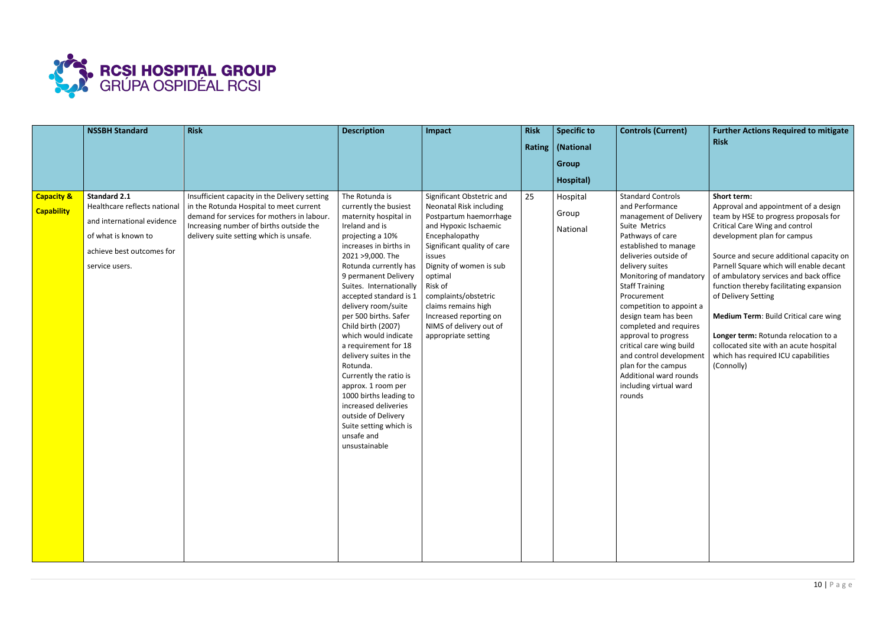

|                                            | <b>NSSBH Standard</b>                                                                                                                                   | <b>Risk</b>                                                                                                                                                                                                                  | <b>Description</b>                                                                                                                                                                                                                                                                                                                                                                                                                                                                                                                                                                                        | Impact                                                                                                                                                                                                                                                                                                                                                | <b>Risk</b> | <b>Specific to</b>                                         | <b>Controls (Current)</b>                                                                                                                                                                                                                                                                                                                                                                                                                                                                            | <b>Further Actions Required to mitigate</b>                                                                                                                                                                                                                                                                                                                                                                                                                                                                                                             |
|--------------------------------------------|---------------------------------------------------------------------------------------------------------------------------------------------------------|------------------------------------------------------------------------------------------------------------------------------------------------------------------------------------------------------------------------------|-----------------------------------------------------------------------------------------------------------------------------------------------------------------------------------------------------------------------------------------------------------------------------------------------------------------------------------------------------------------------------------------------------------------------------------------------------------------------------------------------------------------------------------------------------------------------------------------------------------|-------------------------------------------------------------------------------------------------------------------------------------------------------------------------------------------------------------------------------------------------------------------------------------------------------------------------------------------------------|-------------|------------------------------------------------------------|------------------------------------------------------------------------------------------------------------------------------------------------------------------------------------------------------------------------------------------------------------------------------------------------------------------------------------------------------------------------------------------------------------------------------------------------------------------------------------------------------|---------------------------------------------------------------------------------------------------------------------------------------------------------------------------------------------------------------------------------------------------------------------------------------------------------------------------------------------------------------------------------------------------------------------------------------------------------------------------------------------------------------------------------------------------------|
|                                            |                                                                                                                                                         |                                                                                                                                                                                                                              |                                                                                                                                                                                                                                                                                                                                                                                                                                                                                                                                                                                                           |                                                                                                                                                                                                                                                                                                                                                       |             | Rating   (National                                         |                                                                                                                                                                                                                                                                                                                                                                                                                                                                                                      | <b>Risk</b>                                                                                                                                                                                                                                                                                                                                                                                                                                                                                                                                             |
|                                            |                                                                                                                                                         |                                                                                                                                                                                                                              |                                                                                                                                                                                                                                                                                                                                                                                                                                                                                                                                                                                                           |                                                                                                                                                                                                                                                                                                                                                       |             |                                                            |                                                                                                                                                                                                                                                                                                                                                                                                                                                                                                      |                                                                                                                                                                                                                                                                                                                                                                                                                                                                                                                                                         |
|                                            |                                                                                                                                                         |                                                                                                                                                                                                                              |                                                                                                                                                                                                                                                                                                                                                                                                                                                                                                                                                                                                           |                                                                                                                                                                                                                                                                                                                                                       |             |                                                            |                                                                                                                                                                                                                                                                                                                                                                                                                                                                                                      |                                                                                                                                                                                                                                                                                                                                                                                                                                                                                                                                                         |
| <b>Capacity &amp;</b><br><b>Capability</b> | <b>Standard 2.1</b><br>Healthcare reflects national<br>and international evidence<br>of what is known to<br>achieve best outcomes for<br>service users. | Insufficient capacity in the Delivery setting<br>in the Rotunda Hospital to meet current<br>demand for services for mothers in labour.<br>Increasing number of births outside the<br>delivery suite setting which is unsafe. | The Rotunda is<br>currently the busiest<br>maternity hospital in<br>Ireland and is<br>projecting a 10%<br>increases in births in<br>2021 > 9,000. The<br>Rotunda currently has<br>9 permanent Delivery<br>Suites. Internationally<br>accepted standard is 1<br>delivery room/suite<br>per 500 births. Safer<br>Child birth (2007)<br>which would indicate<br>a requirement for 18<br>delivery suites in the<br>Rotunda.<br>Currently the ratio is<br>approx. 1 room per<br>1000 births leading to<br>increased deliveries<br>outside of Delivery<br>Suite setting which is<br>unsafe and<br>unsustainable | Significant Obstetric and<br><b>Neonatal Risk including</b><br>Postpartum haemorrhage<br>and Hypoxic Ischaemic<br>Encephalopathy<br>Significant quality of care<br>issues<br>Dignity of women is sub<br>optimal<br>Risk of<br>complaints/obstetric<br>claims remains high<br>Increased reporting on<br>NIMS of delivery out of<br>appropriate setting | 25          | <b>Group</b><br>Hospital)<br>Hospital<br>Group<br>National | <b>Standard Controls</b><br>and Performance<br>management of Delivery<br>Suite Metrics<br>Pathways of care<br>established to manage<br>deliveries outside of<br>delivery suites<br>Monitoring of mandatory<br><b>Staff Training</b><br>Procurement<br>competition to appoint a<br>design team has been<br>completed and requires<br>approval to progress<br>critical care wing build<br>and control development<br>plan for the campus<br>Additional ward rounds<br>including virtual ward<br>rounds | Short term:<br>Approval and appointment of a design<br>team by HSE to progress proposals for<br><b>Critical Care Wing and control</b><br>development plan for campus<br>Source and secure additional capacity on<br>Parnell Square which will enable decant<br>of ambulatory services and back office<br>function thereby facilitating expansion<br>of Delivery Setting<br>Medium Term: Build Critical care wing<br>Longer term: Rotunda relocation to a<br>collocated site with an acute hospital<br>which has required ICU capabilities<br>(Connolly) |
|                                            |                                                                                                                                                         |                                                                                                                                                                                                                              |                                                                                                                                                                                                                                                                                                                                                                                                                                                                                                                                                                                                           |                                                                                                                                                                                                                                                                                                                                                       |             |                                                            |                                                                                                                                                                                                                                                                                                                                                                                                                                                                                                      |                                                                                                                                                                                                                                                                                                                                                                                                                                                                                                                                                         |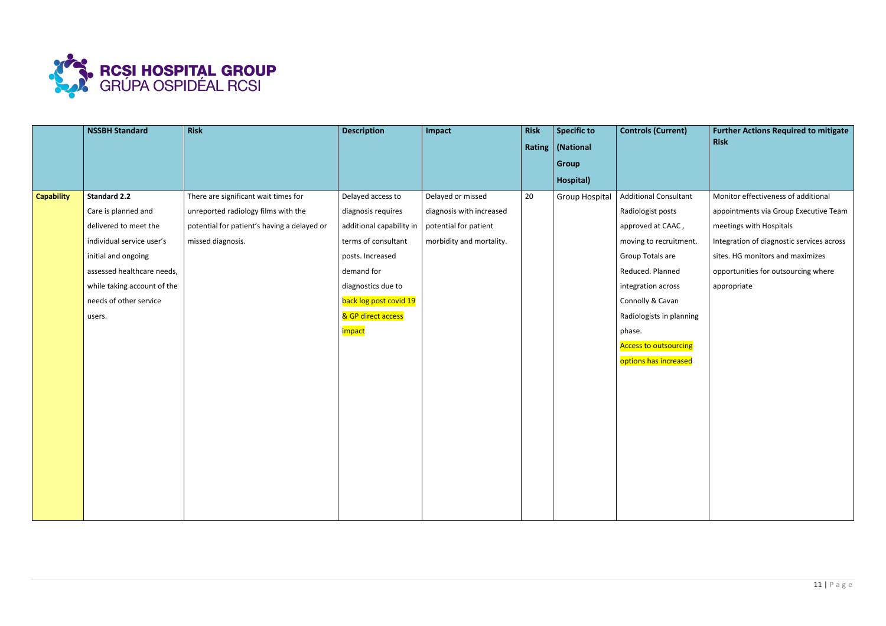

|                   | <b>NSSBH Standard</b>                                                                                                                                                                                                    | <b>Risk</b>                                                                                                                                     | <b>Description</b>                                                                                                                                                                                                        | Impact                                                                                             | <b>Risk</b> | <b>Specific to</b><br>Rating   (National<br><b>Group</b><br>Hospital) | <b>Controls (Current)</b>                                                                                                                                                                                                                                                         | <b>Further Actions Required to mitigate</b><br><b>Risk</b>                                                                                                                                                                                     |
|-------------------|--------------------------------------------------------------------------------------------------------------------------------------------------------------------------------------------------------------------------|-------------------------------------------------------------------------------------------------------------------------------------------------|---------------------------------------------------------------------------------------------------------------------------------------------------------------------------------------------------------------------------|----------------------------------------------------------------------------------------------------|-------------|-----------------------------------------------------------------------|-----------------------------------------------------------------------------------------------------------------------------------------------------------------------------------------------------------------------------------------------------------------------------------|------------------------------------------------------------------------------------------------------------------------------------------------------------------------------------------------------------------------------------------------|
| <b>Capability</b> | <b>Standard 2.2</b><br>Care is planned and<br>delivered to meet the<br>individual service user's<br>initial and ongoing<br>assessed healthcare needs,<br>while taking account of the<br>needs of other service<br>users. | There are significant wait times for<br>unreported radiology films with the<br>potential for patient's having a delayed or<br>missed diagnosis. | Delayed access to<br>diagnosis requires<br>additional capability in<br>terms of consultant<br>posts. Increased<br>demand for<br>diagnostics due to<br>back log post covid 19<br>& GP direct access<br><mark>impact</mark> | Delayed or missed<br>diagnosis with increased<br>potential for patient<br>morbidity and mortality. | 20          | <b>Group Hospital</b>                                                 | <b>Additional Consultant</b><br>Radiologist posts<br>approved at CAAC,<br>moving to recruitment.<br>Group Totals are<br>Reduced. Planned<br>integration across<br>Connolly & Cavan<br>Radiologists in planning<br>phase.<br><b>Access to outsourcing</b><br>options has increased | Monitor effectiveness of additional<br>appointments via Group Executive Team<br>meetings with Hospitals<br>Integration of diagnostic services across<br>sites. HG monitors and maximizes<br>opportunities for outsourcing where<br>appropriate |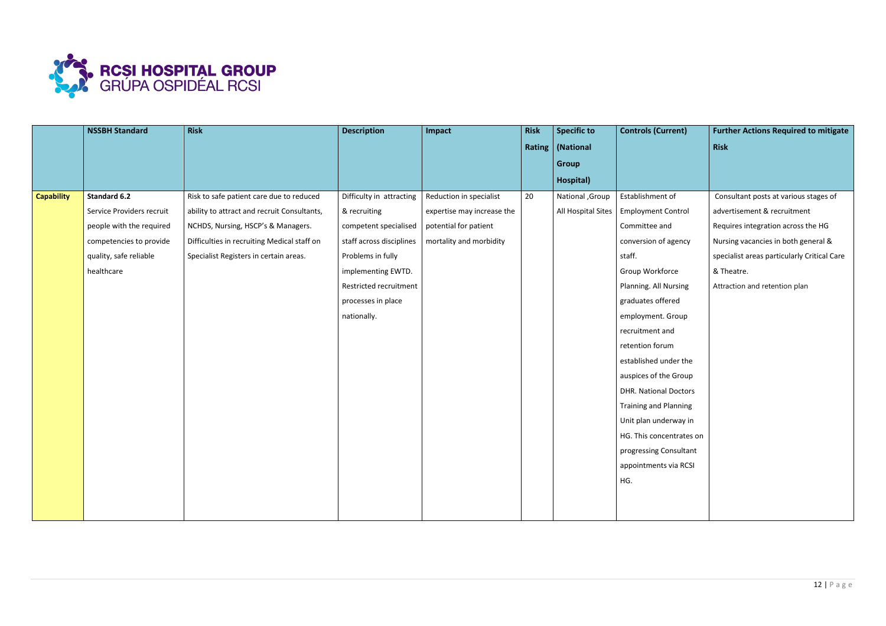

|                   | <b>NSSBH Standard</b>     | <b>Risk</b>                                 | <b>Description</b>       | Impact                     | <b>Risk</b> | <b>Specific to</b> | <b>Controls (Current)</b>    | <b>Further Actions Required to mitigate</b> |
|-------------------|---------------------------|---------------------------------------------|--------------------------|----------------------------|-------------|--------------------|------------------------------|---------------------------------------------|
|                   |                           |                                             |                          |                            |             | Rating   (National |                              | <b>Risk</b>                                 |
|                   |                           |                                             |                          |                            |             | <b>Group</b>       |                              |                                             |
|                   |                           |                                             |                          |                            |             | Hospital)          |                              |                                             |
| <b>Capability</b> | <b>Standard 6.2</b>       | Risk to safe patient care due to reduced    | Difficulty in attracting | Reduction in specialist    | 20          | National , Group   | Establishment of             | Consultant posts at various stages of       |
|                   | Service Providers recruit | ability to attract and recruit Consultants, | & recruiting             | expertise may increase the |             | All Hospital Sites | <b>Employment Control</b>    | advertisement & recruitment                 |
|                   | people with the required  | NCHDS, Nursing, HSCP's & Managers.          | competent specialised    | potential for patient      |             |                    | Committee and                | Requires integration across the HG          |
|                   | competencies to provide   | Difficulties in recruiting Medical staff on | staff across disciplines | mortality and morbidity    |             |                    | conversion of agency         | Nursing vacancies in both general &         |
|                   | quality, safe reliable    | Specialist Registers in certain areas.      | Problems in fully        |                            |             |                    | staff.                       | specialist areas particularly Critical Care |
|                   | healthcare                |                                             | implementing EWTD.       |                            |             |                    | Group Workforce              | & Theatre.                                  |
|                   |                           |                                             | Restricted recruitment   |                            |             |                    | Planning. All Nursing        | Attraction and retention plan               |
|                   |                           |                                             | processes in place       |                            |             |                    | graduates offered            |                                             |
|                   |                           |                                             | nationally.              |                            |             |                    | employment. Group            |                                             |
|                   |                           |                                             |                          |                            |             |                    | recruitment and              |                                             |
|                   |                           |                                             |                          |                            |             |                    | retention forum              |                                             |
|                   |                           |                                             |                          |                            |             |                    | established under the        |                                             |
|                   |                           |                                             |                          |                            |             |                    | auspices of the Group        |                                             |
|                   |                           |                                             |                          |                            |             |                    | <b>DHR. National Doctors</b> |                                             |
|                   |                           |                                             |                          |                            |             |                    | <b>Training and Planning</b> |                                             |
|                   |                           |                                             |                          |                            |             |                    | Unit plan underway in        |                                             |
|                   |                           |                                             |                          |                            |             |                    | HG. This concentrates on     |                                             |
|                   |                           |                                             |                          |                            |             |                    | progressing Consultant       |                                             |
|                   |                           |                                             |                          |                            |             |                    | appointments via RCSI        |                                             |
|                   |                           |                                             |                          |                            |             |                    | HG.                          |                                             |
|                   |                           |                                             |                          |                            |             |                    |                              |                                             |
|                   |                           |                                             |                          |                            |             |                    |                              |                                             |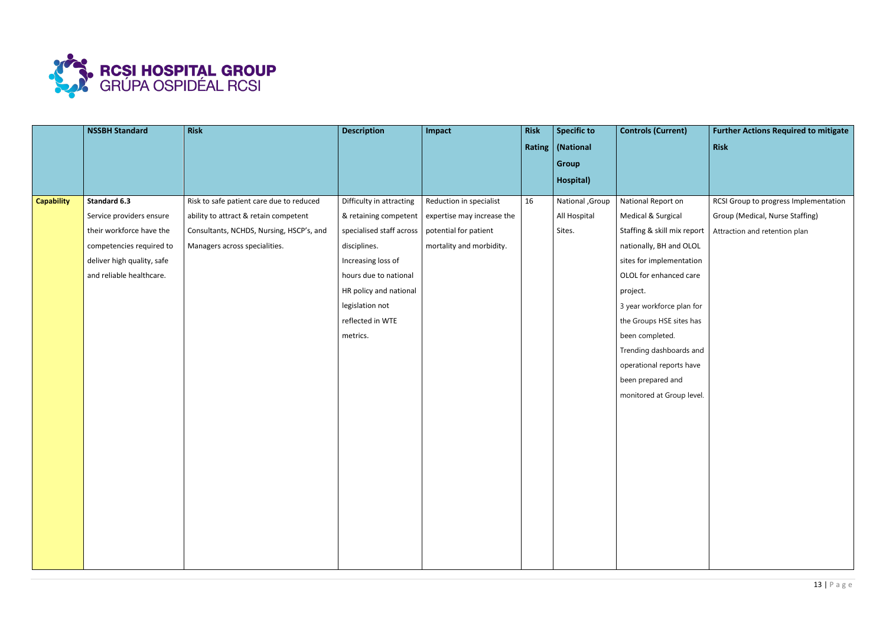

|                   | <b>NSSBH Standard</b>      | Risk                                     | <b>Description</b>       | Impact                     | <b>Risk</b> | <b>Specific to</b><br>Rating   (National | <b>Controls (Current)</b>   | <b>Further Actions Required to mitigate</b><br>Risk |
|-------------------|----------------------------|------------------------------------------|--------------------------|----------------------------|-------------|------------------------------------------|-----------------------------|-----------------------------------------------------|
|                   |                            |                                          |                          |                            |             | <b>Group</b>                             |                             |                                                     |
|                   |                            |                                          |                          |                            |             | Hospital)                                |                             |                                                     |
| <b>Capability</b> | <b>Standard 6.3</b>        | Risk to safe patient care due to reduced | Difficulty in attracting | Reduction in specialist    | 16          | National , Group                         | National Report on          | RCSI Group to progress Implementation               |
|                   | Service providers ensure   | ability to attract & retain competent    | & retaining competent    | expertise may increase the |             | All Hospital                             | Medical & Surgical          | Group (Medical, Nurse Staffing)                     |
|                   | their workforce have the   | Consultants, NCHDS, Nursing, HSCP's, and | specialised staff across | potential for patient      |             | Sites.                                   | Staffing & skill mix report | Attraction and retention plan                       |
|                   | competencies required to   | Managers across specialities.            | disciplines.             | mortality and morbidity.   |             |                                          | nationally, BH and OLOL     |                                                     |
|                   | deliver high quality, safe |                                          | Increasing loss of       |                            |             |                                          | sites for implementation    |                                                     |
|                   | and reliable healthcare.   |                                          | hours due to national    |                            |             |                                          | OLOL for enhanced care      |                                                     |
|                   |                            |                                          | HR policy and national   |                            |             |                                          | project.                    |                                                     |
|                   |                            |                                          | legislation not          |                            |             |                                          | 3 year workforce plan for   |                                                     |
|                   |                            |                                          | reflected in WTE         |                            |             |                                          | the Groups HSE sites has    |                                                     |
|                   |                            |                                          | metrics.                 |                            |             |                                          | been completed.             |                                                     |
|                   |                            |                                          |                          |                            |             |                                          | Trending dashboards and     |                                                     |
|                   |                            |                                          |                          |                            |             |                                          | operational reports have    |                                                     |
|                   |                            |                                          |                          |                            |             |                                          | been prepared and           |                                                     |
|                   |                            |                                          |                          |                            |             |                                          | monitored at Group level.   |                                                     |
|                   |                            |                                          |                          |                            |             |                                          |                             |                                                     |
|                   |                            |                                          |                          |                            |             |                                          |                             |                                                     |
|                   |                            |                                          |                          |                            |             |                                          |                             |                                                     |
|                   |                            |                                          |                          |                            |             |                                          |                             |                                                     |
|                   |                            |                                          |                          |                            |             |                                          |                             |                                                     |
|                   |                            |                                          |                          |                            |             |                                          |                             |                                                     |
|                   |                            |                                          |                          |                            |             |                                          |                             |                                                     |
|                   |                            |                                          |                          |                            |             |                                          |                             |                                                     |
|                   |                            |                                          |                          |                            |             |                                          |                             |                                                     |
|                   |                            |                                          |                          |                            |             |                                          |                             |                                                     |
|                   |                            |                                          |                          |                            |             |                                          |                             |                                                     |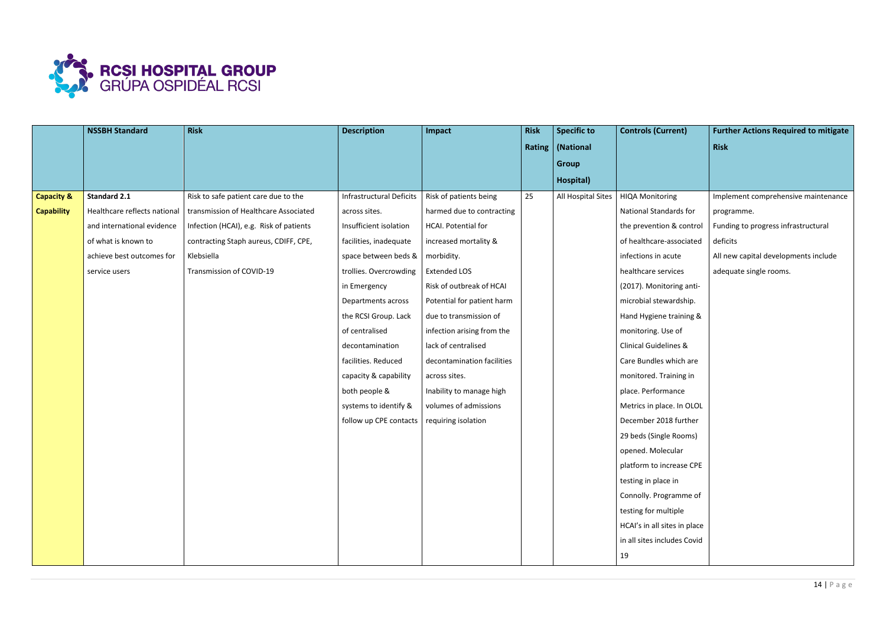

|                       | <b>NSSBH Standard</b>        | <b>Risk</b>                             | <b>Description</b>              | Impact                     | <b>Risk</b> | <b>Specific to</b> | <b>Controls (Current)</b>        | <b>Further Actions Required to mitigate</b> |
|-----------------------|------------------------------|-----------------------------------------|---------------------------------|----------------------------|-------------|--------------------|----------------------------------|---------------------------------------------|
|                       |                              |                                         |                                 |                            |             | Rating   (National |                                  | <b>Risk</b>                                 |
|                       |                              |                                         |                                 |                            |             | <b>Group</b>       |                                  |                                             |
|                       |                              |                                         |                                 |                            |             | Hospital)          |                                  |                                             |
| <b>Capacity &amp;</b> | <b>Standard 2.1</b>          | Risk to safe patient care due to the    | <b>Infrastructural Deficits</b> | Risk of patients being     | 25          | All Hospital Sites | <b>HIQA Monitoring</b>           | Implement comprehensive maintenance         |
| <b>Capability</b>     | Healthcare reflects national | transmission of Healthcare Associated   | across sites.                   | harmed due to contracting  |             |                    | National Standards for           | programme.                                  |
|                       | and international evidence   | Infection (HCAI), e.g. Risk of patients | Insufficient isolation          | HCAI. Potential for        |             |                    | the prevention & control         | Funding to progress infrastructural         |
|                       | of what is known to          | contracting Staph aureus, CDIFF, CPE,   | facilities, inadequate          | increased mortality &      |             |                    | of healthcare-associated         | deficits                                    |
|                       | achieve best outcomes for    | Klebsiella                              | space between beds &            | morbidity.                 |             |                    | infections in acute              | All new capital developments include        |
|                       | service users                | Transmission of COVID-19                | trollies. Overcrowding          | <b>Extended LOS</b>        |             |                    | healthcare services              | adequate single rooms.                      |
|                       |                              |                                         | in Emergency                    | Risk of outbreak of HCAI   |             |                    | (2017). Monitoring anti-         |                                             |
|                       |                              |                                         | Departments across              | Potential for patient harm |             |                    | microbial stewardship.           |                                             |
|                       |                              |                                         | the RCSI Group. Lack            | due to transmission of     |             |                    | Hand Hygiene training &          |                                             |
|                       |                              |                                         | of centralised                  | infection arising from the |             |                    | monitoring. Use of               |                                             |
|                       |                              |                                         | decontamination                 | lack of centralised        |             |                    | <b>Clinical Guidelines &amp;</b> |                                             |
|                       |                              |                                         | facilities. Reduced             | decontamination facilities |             |                    | Care Bundles which are           |                                             |
|                       |                              |                                         | capacity & capability           | across sites.              |             |                    | monitored. Training in           |                                             |
|                       |                              |                                         | both people &                   | Inability to manage high   |             |                    | place. Performance               |                                             |
|                       |                              |                                         | systems to identify &           | volumes of admissions      |             |                    | Metrics in place. In OLOL        |                                             |
|                       |                              |                                         | follow up CPE contacts          | requiring isolation        |             |                    | December 2018 further            |                                             |
|                       |                              |                                         |                                 |                            |             |                    | 29 beds (Single Rooms)           |                                             |
|                       |                              |                                         |                                 |                            |             |                    | opened. Molecular                |                                             |
|                       |                              |                                         |                                 |                            |             |                    | platform to increase CPE         |                                             |
|                       |                              |                                         |                                 |                            |             |                    | testing in place in              |                                             |
|                       |                              |                                         |                                 |                            |             |                    | Connolly. Programme of           |                                             |
|                       |                              |                                         |                                 |                            |             |                    | testing for multiple             |                                             |
|                       |                              |                                         |                                 |                            |             |                    | HCAI's in all sites in place     |                                             |
|                       |                              |                                         |                                 |                            |             |                    | in all sites includes Covid      |                                             |
|                       |                              |                                         |                                 |                            |             |                    | 19                               |                                             |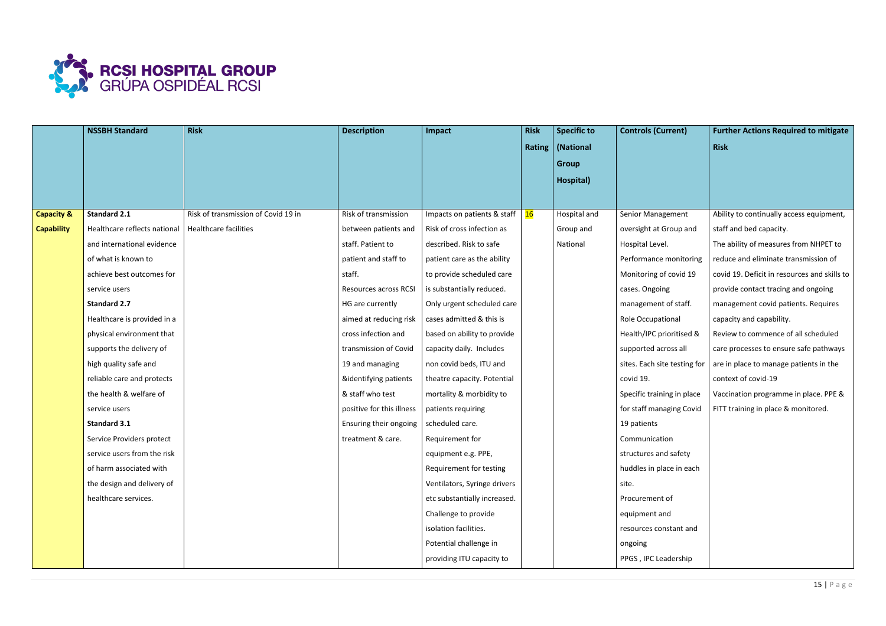

|                       | <b>NSSBH Standard</b>        | <b>Risk</b>                         | <b>Description</b>        | Impact                       | <b>Risk</b> | <b>Specific to</b> | <b>Controls (Current)</b>    | <b>Further Actions Required to mitigate</b>  |
|-----------------------|------------------------------|-------------------------------------|---------------------------|------------------------------|-------------|--------------------|------------------------------|----------------------------------------------|
|                       |                              |                                     |                           |                              |             | Rating   (National |                              | <b>Risk</b>                                  |
|                       |                              |                                     |                           |                              |             | <b>Group</b>       |                              |                                              |
|                       |                              |                                     |                           |                              |             | Hospital)          |                              |                                              |
|                       |                              |                                     |                           |                              |             |                    |                              |                                              |
| <b>Capacity &amp;</b> | <b>Standard 2.1</b>          | Risk of transmission of Covid 19 in | Risk of transmission      | Impacts on patients & staff  | 16          | Hospital and       | <b>Senior Management</b>     | Ability to continually access equipment,     |
| <b>Capability</b>     | Healthcare reflects national | <b>Healthcare facilities</b>        | between patients and      | Risk of cross infection as   |             | Group and          | oversight at Group and       | staff and bed capacity.                      |
|                       | and international evidence   |                                     | staff. Patient to         | described. Risk to safe      |             | National           | Hospital Level.              | The ability of measures from NHPET to        |
|                       | of what is known to          |                                     | patient and staff to      | patient care as the ability  |             |                    | Performance monitoring       | reduce and eliminate transmission of         |
|                       | achieve best outcomes for    |                                     | staff.                    | to provide scheduled care    |             |                    | Monitoring of covid 19       | covid 19. Deficit in resources and skills to |
|                       | service users                |                                     | Resources across RCSI     | is substantially reduced.    |             |                    | cases. Ongoing               | provide contact tracing and ongoing          |
|                       | <b>Standard 2.7</b>          |                                     | HG are currently          | Only urgent scheduled care   |             |                    | management of staff.         | management covid patients. Requires          |
|                       | Healthcare is provided in a  |                                     | aimed at reducing risk    | cases admitted & this is     |             |                    | Role Occupational            | capacity and capability.                     |
|                       | physical environment that    |                                     | cross infection and       | based on ability to provide  |             |                    | Health/IPC prioritised &     | Review to commence of all scheduled          |
|                       | supports the delivery of     |                                     | transmission of Covid     | capacity daily. Includes     |             |                    | supported across all         | care processes to ensure safe pathways       |
|                       | high quality safe and        |                                     | 19 and managing           | non covid beds, ITU and      |             |                    | sites. Each site testing for | are in place to manage patients in the       |
|                       | reliable care and protects   |                                     | &identifying patients     | theatre capacity. Potential  |             |                    | covid 19.                    | context of covid-19                          |
|                       | the health & welfare of      |                                     | & staff who test          | mortality & morbidity to     |             |                    | Specific training in place   | Vaccination programme in place. PPE &        |
|                       | service users                |                                     | positive for this illness | patients requiring           |             |                    | for staff managing Covid     | FITT training in place & monitored.          |
|                       | Standard 3.1                 |                                     | Ensuring their ongoing    | scheduled care.              |             |                    | 19 patients                  |                                              |
|                       | Service Providers protect    |                                     | treatment & care.         | Requirement for              |             |                    | Communication                |                                              |
|                       | service users from the risk  |                                     |                           | equipment e.g. PPE,          |             |                    | structures and safety        |                                              |
|                       | of harm associated with      |                                     |                           | Requirement for testing      |             |                    | huddles in place in each     |                                              |
|                       | the design and delivery of   |                                     |                           | Ventilators, Syringe drivers |             |                    | site.                        |                                              |
|                       | healthcare services.         |                                     |                           | etc substantially increased. |             |                    | Procurement of               |                                              |
|                       |                              |                                     |                           | Challenge to provide         |             |                    | equipment and                |                                              |
|                       |                              |                                     |                           | isolation facilities.        |             |                    | resources constant and       |                                              |
|                       |                              |                                     |                           | Potential challenge in       |             |                    | ongoing                      |                                              |
|                       |                              |                                     |                           | providing ITU capacity to    |             |                    | PPGS, IPC Leadership         |                                              |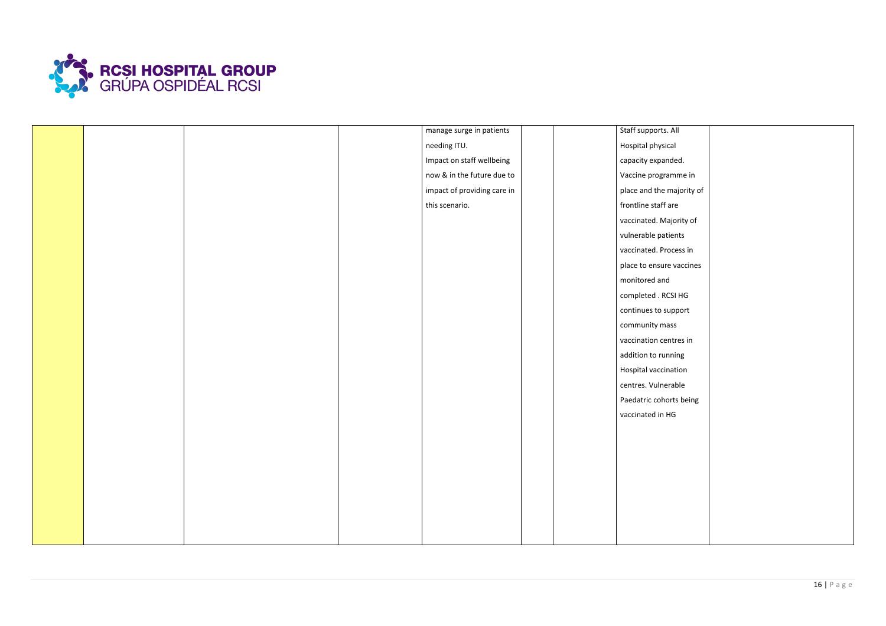

|  |  | manage surge in patients    | Staff supports. All       |
|--|--|-----------------------------|---------------------------|
|  |  | needing ITU.                | Hospital physical         |
|  |  | Impact on staff wellbeing   | capacity expanded.        |
|  |  | now & in the future due to  | Vaccine programme in      |
|  |  | impact of providing care in | place and the majority of |
|  |  | this scenario.              | frontline staff are       |
|  |  |                             | vaccinated. Majority of   |
|  |  |                             | vulnerable patients       |
|  |  |                             | vaccinated. Process in    |
|  |  |                             | place to ensure vaccines  |
|  |  |                             | monitored and             |
|  |  |                             | completed . RCSI HG       |
|  |  |                             | continues to support      |
|  |  |                             | community mass            |
|  |  |                             | vaccination centres in    |
|  |  |                             | addition to running       |
|  |  |                             | Hospital vaccination      |
|  |  |                             | centres. Vulnerable       |
|  |  |                             | Paedatric cohorts being   |
|  |  |                             | vaccinated in HG          |
|  |  |                             |                           |
|  |  |                             |                           |
|  |  |                             |                           |
|  |  |                             |                           |
|  |  |                             |                           |
|  |  |                             |                           |
|  |  |                             |                           |
|  |  |                             |                           |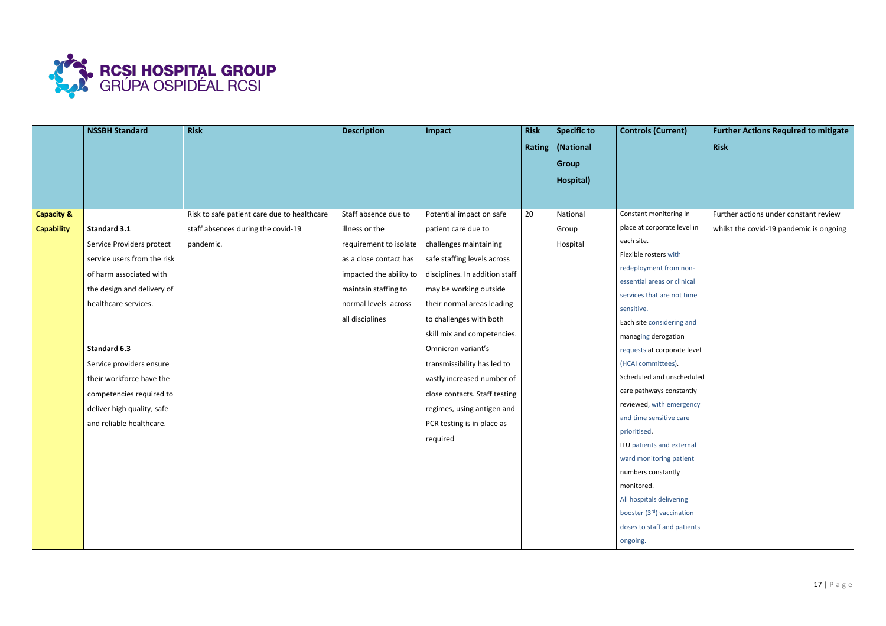

|                       | <b>NSSBH Standard</b>       | <b>Risk</b>                                 | <b>Description</b>      | Impact                         | <b>Risk</b> | <b>Specific to</b> | <b>Controls (Current)</b>        | <b>Further Actions Required to mitigate</b> |
|-----------------------|-----------------------------|---------------------------------------------|-------------------------|--------------------------------|-------------|--------------------|----------------------------------|---------------------------------------------|
|                       |                             |                                             |                         |                                |             | Rating   (National |                                  | <b>Risk</b>                                 |
|                       |                             |                                             |                         |                                |             | <b>Group</b>       |                                  |                                             |
|                       |                             |                                             |                         |                                |             | Hospital)          |                                  |                                             |
|                       |                             |                                             |                         |                                |             |                    |                                  |                                             |
| <b>Capacity &amp;</b> |                             | Risk to safe patient care due to healthcare | Staff absence due to    | Potential impact on safe       | 20          | National           | Constant monitoring in           | Further actions under constant review       |
|                       |                             |                                             | illness or the          |                                |             |                    | place at corporate level in      |                                             |
| <b>Capability</b>     | Standard 3.1                | staff absences during the covid-19          |                         | patient care due to            |             | Group              | each site.                       | whilst the covid-19 pandemic is ongoing     |
|                       | Service Providers protect   | pandemic.                                   | requirement to isolate  | challenges maintaining         |             | Hospital           | Flexible rosters with            |                                             |
|                       | service users from the risk |                                             | as a close contact has  | safe staffing levels across    |             |                    | redeployment from non-           |                                             |
|                       | of harm associated with     |                                             | impacted the ability to | disciplines. In addition staff |             |                    | essential areas or clinical      |                                             |
|                       | the design and delivery of  |                                             | maintain staffing to    | may be working outside         |             |                    | services that are not time       |                                             |
|                       | healthcare services.        |                                             | normal levels across    | their normal areas leading     |             |                    | sensitive.                       |                                             |
|                       |                             |                                             | all disciplines         | to challenges with both        |             |                    | Each site considering and        |                                             |
|                       |                             |                                             |                         | skill mix and competencies.    |             |                    | managing derogation              |                                             |
|                       | Standard 6.3                |                                             |                         | Omnicron variant's             |             |                    | requests at corporate level      |                                             |
|                       | Service providers ensure    |                                             |                         | transmissibility has led to    |             |                    | (HCAI committees).               |                                             |
|                       | their workforce have the    |                                             |                         | vastly increased number of     |             |                    | Scheduled and unscheduled        |                                             |
|                       | competencies required to    |                                             |                         | close contacts. Staff testing  |             |                    | care pathways constantly         |                                             |
|                       | deliver high quality, safe  |                                             |                         | regimes, using antigen and     |             |                    | reviewed, with emergency         |                                             |
|                       | and reliable healthcare.    |                                             |                         | PCR testing is in place as     |             |                    | and time sensitive care          |                                             |
|                       |                             |                                             |                         | required                       |             |                    | prioritised.                     |                                             |
|                       |                             |                                             |                         |                                |             |                    | <b>ITU</b> patients and external |                                             |
|                       |                             |                                             |                         |                                |             |                    | ward monitoring patient          |                                             |
|                       |                             |                                             |                         |                                |             |                    | numbers constantly               |                                             |
|                       |                             |                                             |                         |                                |             |                    | monitored.                       |                                             |
|                       |                             |                                             |                         |                                |             |                    | All hospitals delivering         |                                             |
|                       |                             |                                             |                         |                                |             |                    | booster (3rd) vaccination        |                                             |
|                       |                             |                                             |                         |                                |             |                    | doses to staff and patients      |                                             |
|                       |                             |                                             |                         |                                |             |                    | ongoing.                         |                                             |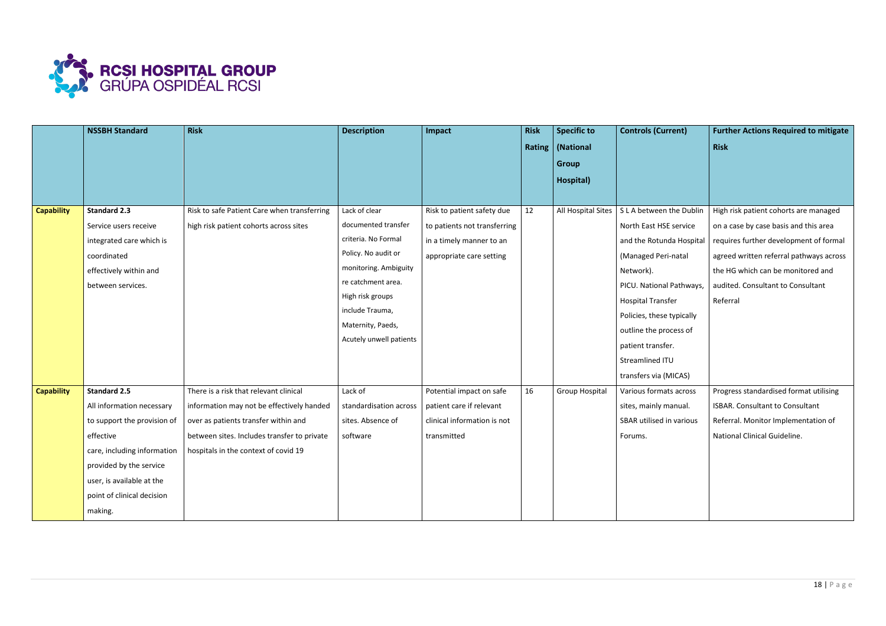

|                   | <b>NSSBH Standard</b>       | <b>Risk</b>                                 | <b>Description</b>      | Impact                       | <b>Risk</b> | <b>Specific to</b>    | <b>Controls (Current)</b> | <b>Further Actions Required to mitigate</b> |
|-------------------|-----------------------------|---------------------------------------------|-------------------------|------------------------------|-------------|-----------------------|---------------------------|---------------------------------------------|
|                   |                             |                                             |                         |                              |             | Rating   (National    |                           | <b>Risk</b>                                 |
|                   |                             |                                             |                         |                              |             | <b>Group</b>          |                           |                                             |
|                   |                             |                                             |                         |                              |             | Hospital)             |                           |                                             |
|                   |                             |                                             |                         |                              |             |                       |                           |                                             |
| <b>Capability</b> | <b>Standard 2.3</b>         | Risk to safe Patient Care when transferring | Lack of clear           | Risk to patient safety due   | 12          | All Hospital Sites    | S L A between the Dublin  | High risk patient cohorts are managed       |
|                   | Service users receive       | high risk patient cohorts across sites      | documented transfer     | to patients not transferring |             |                       | North East HSE service    | on a case by case basis and this area       |
|                   | integrated care which is    |                                             | criteria. No Formal     | in a timely manner to an     |             |                       | and the Rotunda Hospital  | requires further development of formal      |
|                   | coordinated                 |                                             | Policy. No audit or     | appropriate care setting     |             |                       | (Managed Peri-natal       | agreed written referral pathways across     |
|                   | effectively within and      |                                             | monitoring. Ambiguity   |                              |             |                       | Network).                 | the HG which can be monitored and           |
|                   | between services.           |                                             | re catchment area.      |                              |             |                       | PICU. National Pathways,  | audited. Consultant to Consultant           |
|                   |                             |                                             | High risk groups        |                              |             |                       | <b>Hospital Transfer</b>  | Referral                                    |
|                   |                             |                                             | include Trauma,         |                              |             |                       | Policies, these typically |                                             |
|                   |                             |                                             | Maternity, Paeds,       |                              |             |                       | outline the process of    |                                             |
|                   |                             |                                             | Acutely unwell patients |                              |             |                       | patient transfer.         |                                             |
|                   |                             |                                             |                         |                              |             |                       | Streamlined ITU           |                                             |
|                   |                             |                                             |                         |                              |             |                       | transfers via (MICAS)     |                                             |
| <b>Capability</b> | <b>Standard 2.5</b>         | There is a risk that relevant clinical      | Lack of                 | Potential impact on safe     | 16          | <b>Group Hospital</b> | Various formats across    | Progress standardised format utilising      |
|                   | All information necessary   | information may not be effectively handed   | standardisation across  | patient care if relevant     |             |                       | sites, mainly manual.     | ISBAR. Consultant to Consultant             |
|                   | to support the provision of | over as patients transfer within and        | sites. Absence of       | clinical information is not  |             |                       | SBAR utilised in various  | Referral. Monitor Implementation of         |
|                   | effective                   | between sites. Includes transfer to private | software                | transmitted                  |             |                       | Forums.                   | National Clinical Guideline.                |
|                   | care, including information | hospitals in the context of covid 19        |                         |                              |             |                       |                           |                                             |
|                   | provided by the service     |                                             |                         |                              |             |                       |                           |                                             |
|                   | user, is available at the   |                                             |                         |                              |             |                       |                           |                                             |
|                   | point of clinical decision  |                                             |                         |                              |             |                       |                           |                                             |
|                   | making.                     |                                             |                         |                              |             |                       |                           |                                             |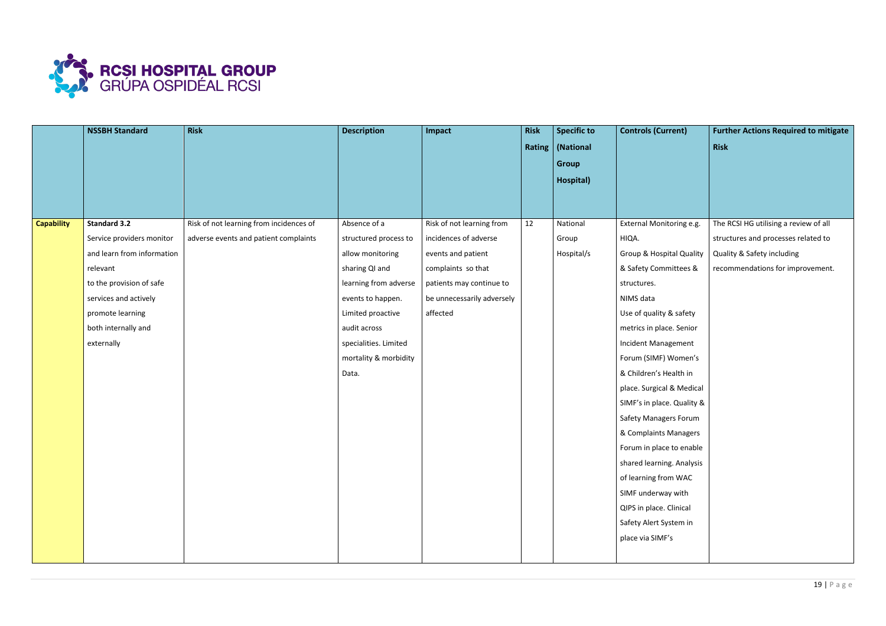

|                   | <b>NSSBH Standard</b>      | Risk                                    | <b>Description</b>    | Impact                     | <b>Risk</b> | <b>Specific to</b> | <b>Controls (Current)</b>           | <b>Further Actions Required to mitigate</b> |
|-------------------|----------------------------|-----------------------------------------|-----------------------|----------------------------|-------------|--------------------|-------------------------------------|---------------------------------------------|
|                   |                            |                                         |                       |                            |             | Rating   (National |                                     | <b>Risk</b>                                 |
|                   |                            |                                         |                       |                            |             | <b>Group</b>       |                                     |                                             |
|                   |                            |                                         |                       |                            |             | Hospital)          |                                     |                                             |
|                   |                            |                                         |                       |                            |             |                    |                                     |                                             |
|                   |                            |                                         |                       |                            |             |                    |                                     |                                             |
| <b>Capability</b> | <b>Standard 3.2</b>        | Risk of not learning from incidences of | Absence of a          | Risk of not learning from  | 12          | National           | External Monitoring e.g.            | The RCSI HG utilising a review of all       |
|                   | Service providers monitor  | adverse events and patient complaints   | structured process to | incidences of adverse      |             | Group              | HIQA.                               | structures and processes related to         |
|                   | and learn from information |                                         | allow monitoring      | events and patient         |             | Hospital/s         | <b>Group &amp; Hospital Quality</b> | Quality & Safety including                  |
|                   | relevant                   |                                         | sharing QI and        | complaints so that         |             |                    | & Safety Committees &               | recommendations for improvement.            |
|                   | to the provision of safe   |                                         | learning from adverse | patients may continue to   |             |                    | structures.                         |                                             |
|                   | services and actively      |                                         | events to happen.     | be unnecessarily adversely |             |                    | NIMS data                           |                                             |
|                   | promote learning           |                                         | Limited proactive     | affected                   |             |                    | Use of quality & safety             |                                             |
|                   | both internally and        |                                         | audit across          |                            |             |                    | metrics in place. Senior            |                                             |
|                   | externally                 |                                         | specialities. Limited |                            |             |                    | Incident Management                 |                                             |
|                   |                            |                                         | mortality & morbidity |                            |             |                    | Forum (SIMF) Women's                |                                             |
|                   |                            |                                         | Data.                 |                            |             |                    | & Children's Health in              |                                             |
|                   |                            |                                         |                       |                            |             |                    | place. Surgical & Medical           |                                             |
|                   |                            |                                         |                       |                            |             |                    | SIMF's in place. Quality &          |                                             |
|                   |                            |                                         |                       |                            |             |                    | <b>Safety Managers Forum</b>        |                                             |
|                   |                            |                                         |                       |                            |             |                    | & Complaints Managers               |                                             |
|                   |                            |                                         |                       |                            |             |                    | Forum in place to enable            |                                             |
|                   |                            |                                         |                       |                            |             |                    | shared learning. Analysis           |                                             |
|                   |                            |                                         |                       |                            |             |                    | of learning from WAC                |                                             |
|                   |                            |                                         |                       |                            |             |                    | SIMF underway with                  |                                             |
|                   |                            |                                         |                       |                            |             |                    | QIPS in place. Clinical             |                                             |
|                   |                            |                                         |                       |                            |             |                    | Safety Alert System in              |                                             |
|                   |                            |                                         |                       |                            |             |                    | place via SIMF's                    |                                             |
|                   |                            |                                         |                       |                            |             |                    |                                     |                                             |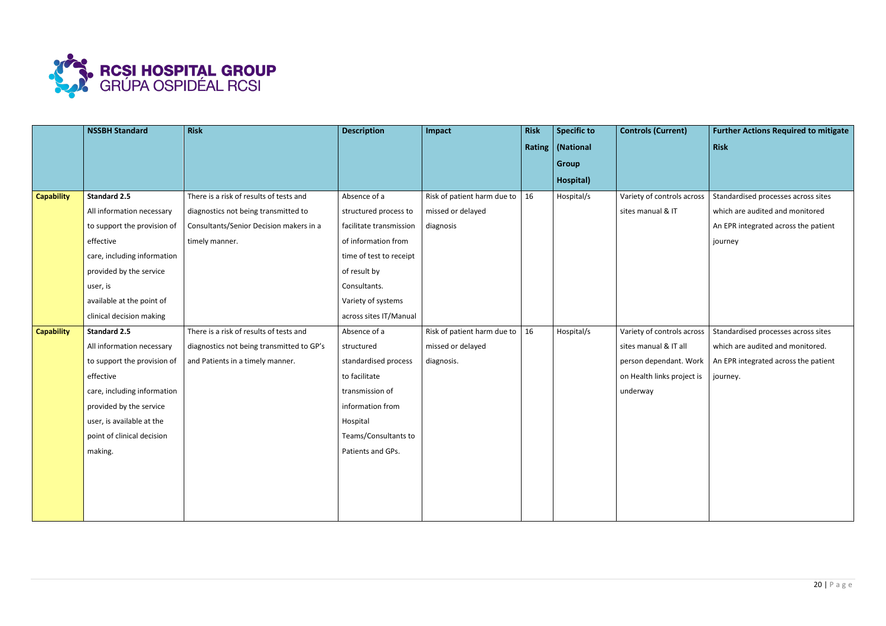

|                   | <b>NSSBH Standard</b>       | <b>Risk</b>                               | <b>Description</b>      | Impact                      | <b>Risk</b> | Specific to        | <b>Controls (Current)</b>  | <b>Further Actions Required to mitigate</b> |
|-------------------|-----------------------------|-------------------------------------------|-------------------------|-----------------------------|-------------|--------------------|----------------------------|---------------------------------------------|
|                   |                             |                                           |                         |                             |             | Rating   (National |                            | <b>Risk</b>                                 |
|                   |                             |                                           |                         |                             |             | Group              |                            |                                             |
|                   |                             |                                           |                         |                             |             | Hospital)          |                            |                                             |
| <b>Capability</b> | <b>Standard 2.5</b>         | There is a risk of results of tests and   | Absence of a            | Risk of patient harm due to | 16          | Hospital/s         | Variety of controls across | Standardised processes across sites         |
|                   | All information necessary   | diagnostics not being transmitted to      | structured process to   | missed or delayed           |             |                    | sites manual & IT          | which are audited and monitored             |
|                   | to support the provision of | Consultants/Senior Decision makers in a   | facilitate transmission | diagnosis                   |             |                    |                            | An EPR integrated across the patient        |
|                   | effective                   | timely manner.                            | of information from     |                             |             |                    |                            | journey                                     |
|                   | care, including information |                                           | time of test to receipt |                             |             |                    |                            |                                             |
|                   | provided by the service     |                                           | of result by            |                             |             |                    |                            |                                             |
|                   | user, is                    |                                           | Consultants.            |                             |             |                    |                            |                                             |
|                   | available at the point of   |                                           | Variety of systems      |                             |             |                    |                            |                                             |
|                   | clinical decision making    |                                           | across sites IT/Manual  |                             |             |                    |                            |                                             |
| <b>Capability</b> | <b>Standard 2.5</b>         | There is a risk of results of tests and   | Absence of a            | Risk of patient harm due to | 16          | Hospital/s         | Variety of controls across | Standardised processes across sites         |
|                   | All information necessary   | diagnostics not being transmitted to GP's | structured              | missed or delayed           |             |                    | sites manual & IT all      | which are audited and monitored.            |
|                   | to support the provision of | and Patients in a timely manner.          | standardised process    | diagnosis.                  |             |                    | person dependant. Work     | An EPR integrated across the patient        |
|                   | effective                   |                                           | to facilitate           |                             |             |                    | on Health links project is | journey.                                    |
|                   | care, including information |                                           | transmission of         |                             |             |                    | underway                   |                                             |
|                   | provided by the service     |                                           | information from        |                             |             |                    |                            |                                             |
|                   | user, is available at the   |                                           | Hospital                |                             |             |                    |                            |                                             |
|                   | point of clinical decision  |                                           | Teams/Consultants to    |                             |             |                    |                            |                                             |
|                   | making.                     |                                           | Patients and GPs.       |                             |             |                    |                            |                                             |
|                   |                             |                                           |                         |                             |             |                    |                            |                                             |
|                   |                             |                                           |                         |                             |             |                    |                            |                                             |
|                   |                             |                                           |                         |                             |             |                    |                            |                                             |
|                   |                             |                                           |                         |                             |             |                    |                            |                                             |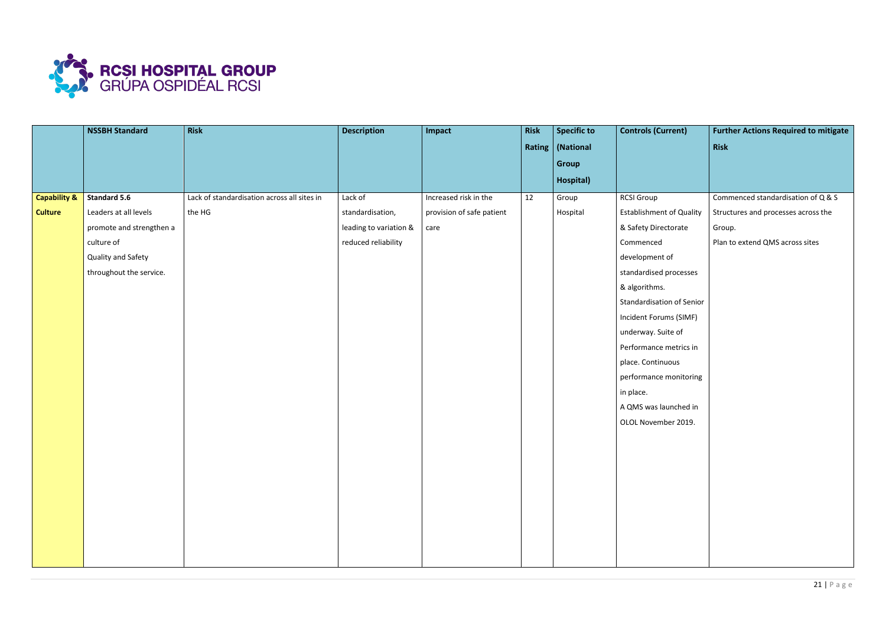

|                         | <b>NSSBH Standard</b>    | Risk                                        | <b>Description</b>     | Impact                    | <b>Risk</b> | <b>Specific to</b> | <b>Controls (Current)</b>       | <b>Further Actions Required to mitigate</b> |
|-------------------------|--------------------------|---------------------------------------------|------------------------|---------------------------|-------------|--------------------|---------------------------------|---------------------------------------------|
|                         |                          |                                             |                        |                           |             | Rating   (National |                                 | Risk                                        |
|                         |                          |                                             |                        |                           |             | Group              |                                 |                                             |
|                         |                          |                                             |                        |                           |             | Hospital)          |                                 |                                             |
| <b>Capability &amp;</b> | <b>Standard 5.6</b>      | Lack of standardisation across all sites in | Lack of                | Increased risk in the     | 12          | Group              | <b>RCSI Group</b>               | Commenced standardisation of Q & S          |
| <b>Culture</b>          | Leaders at all levels    | the HG                                      | standardisation,       | provision of safe patient |             | Hospital           | <b>Establishment of Quality</b> | Structures and processes across the         |
|                         | promote and strengthen a |                                             | leading to variation & | care                      |             |                    | & Safety Directorate            | Group.                                      |
|                         | culture of               |                                             | reduced reliability    |                           |             |                    | Commenced                       | Plan to extend QMS across sites             |
|                         | Quality and Safety       |                                             |                        |                           |             |                    | development of                  |                                             |
|                         | throughout the service.  |                                             |                        |                           |             |                    | standardised processes          |                                             |
|                         |                          |                                             |                        |                           |             |                    | & algorithms.                   |                                             |
|                         |                          |                                             |                        |                           |             |                    | Standardisation of Senior       |                                             |
|                         |                          |                                             |                        |                           |             |                    | Incident Forums (SIMF)          |                                             |
|                         |                          |                                             |                        |                           |             |                    | underway. Suite of              |                                             |
|                         |                          |                                             |                        |                           |             |                    | Performance metrics in          |                                             |
|                         |                          |                                             |                        |                           |             |                    | place. Continuous               |                                             |
|                         |                          |                                             |                        |                           |             |                    | performance monitoring          |                                             |
|                         |                          |                                             |                        |                           |             |                    | in place.                       |                                             |
|                         |                          |                                             |                        |                           |             |                    | A QMS was launched in           |                                             |
|                         |                          |                                             |                        |                           |             |                    | OLOL November 2019.             |                                             |
|                         |                          |                                             |                        |                           |             |                    |                                 |                                             |
|                         |                          |                                             |                        |                           |             |                    |                                 |                                             |
|                         |                          |                                             |                        |                           |             |                    |                                 |                                             |
|                         |                          |                                             |                        |                           |             |                    |                                 |                                             |
|                         |                          |                                             |                        |                           |             |                    |                                 |                                             |
|                         |                          |                                             |                        |                           |             |                    |                                 |                                             |
|                         |                          |                                             |                        |                           |             |                    |                                 |                                             |
|                         |                          |                                             |                        |                           |             |                    |                                 |                                             |
|                         |                          |                                             |                        |                           |             |                    |                                 |                                             |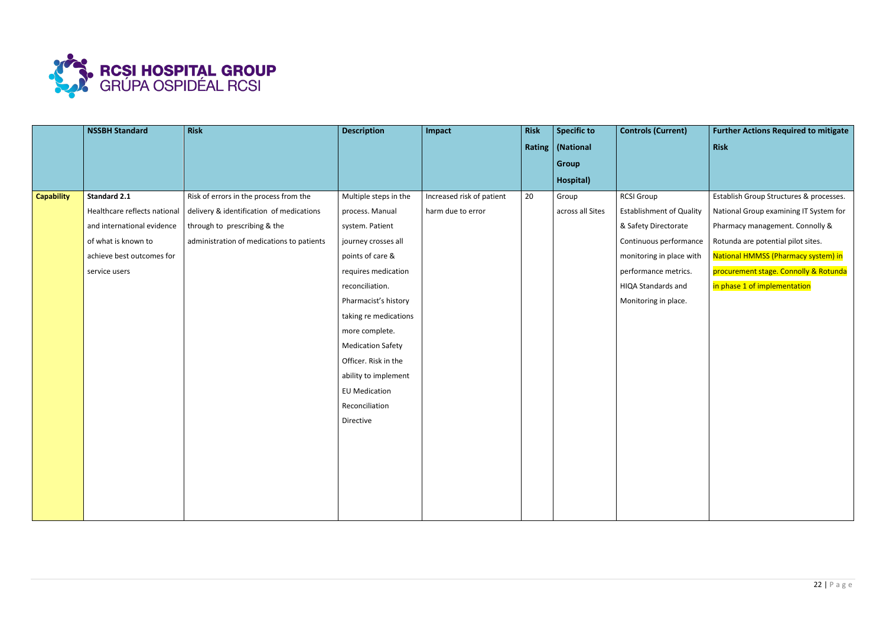

|                   | <b>NSSBH Standard</b>        | <b>Risk</b>                               | <b>Description</b>       | Impact                    | <b>Risk</b> | <b>Specific to</b> | <b>Controls (Current)</b>       | <b>Further Actions Required to mitigate</b> |
|-------------------|------------------------------|-------------------------------------------|--------------------------|---------------------------|-------------|--------------------|---------------------------------|---------------------------------------------|
|                   |                              |                                           |                          |                           |             | Rating   (National |                                 | <b>Risk</b>                                 |
|                   |                              |                                           |                          |                           |             | <b>Group</b>       |                                 |                                             |
|                   |                              |                                           |                          |                           |             | Hospital)          |                                 |                                             |
| <b>Capability</b> | <b>Standard 2.1</b>          | Risk of errors in the process from the    | Multiple steps in the    | Increased risk of patient | 20          | Group              | <b>RCSI Group</b>               | Establish Group Structures & processes.     |
|                   | Healthcare reflects national | delivery & identification of medications  | process. Manual          | harm due to error         |             | across all Sites   | <b>Establishment of Quality</b> | National Group examining IT System for      |
|                   | and international evidence   | through to prescribing & the              | system. Patient          |                           |             |                    | & Safety Directorate            | Pharmacy management. Connolly &             |
|                   | of what is known to          | administration of medications to patients | journey crosses all      |                           |             |                    | Continuous performance          | Rotunda are potential pilot sites.          |
|                   | achieve best outcomes for    |                                           | points of care &         |                           |             |                    | monitoring in place with        | National HMMSS (Pharmacy system) in         |
|                   | service users                |                                           | requires medication      |                           |             |                    | performance metrics.            | procurement stage. Connolly & Rotunda       |
|                   |                              |                                           | reconciliation.          |                           |             |                    | HIQA Standards and              | in phase 1 of implementation                |
|                   |                              |                                           | Pharmacist's history     |                           |             |                    | Monitoring in place.            |                                             |
|                   |                              |                                           | taking re medications    |                           |             |                    |                                 |                                             |
|                   |                              |                                           | more complete.           |                           |             |                    |                                 |                                             |
|                   |                              |                                           | <b>Medication Safety</b> |                           |             |                    |                                 |                                             |
|                   |                              |                                           | Officer. Risk in the     |                           |             |                    |                                 |                                             |
|                   |                              |                                           | ability to implement     |                           |             |                    |                                 |                                             |
|                   |                              |                                           | <b>EU Medication</b>     |                           |             |                    |                                 |                                             |
|                   |                              |                                           | Reconciliation           |                           |             |                    |                                 |                                             |
|                   |                              |                                           | Directive                |                           |             |                    |                                 |                                             |
|                   |                              |                                           |                          |                           |             |                    |                                 |                                             |
|                   |                              |                                           |                          |                           |             |                    |                                 |                                             |
|                   |                              |                                           |                          |                           |             |                    |                                 |                                             |
|                   |                              |                                           |                          |                           |             |                    |                                 |                                             |
|                   |                              |                                           |                          |                           |             |                    |                                 |                                             |
|                   |                              |                                           |                          |                           |             |                    |                                 |                                             |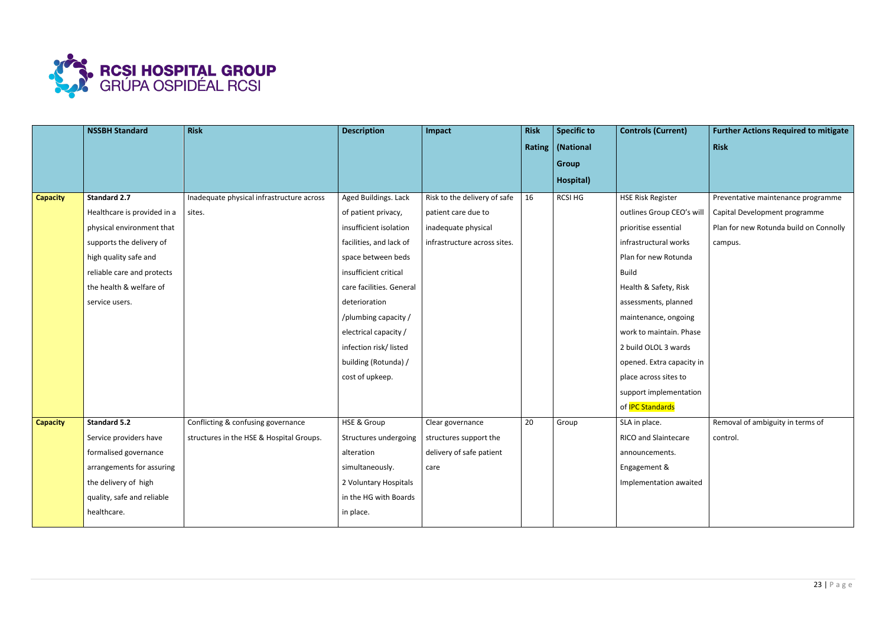

|                 | <b>NSSBH Standard</b>       | <b>Risk</b>                               | <b>Description</b>       | Impact                       | <b>Risk</b> | <b>Specific to</b> | <b>Controls (Current)</b>   | <b>Further Actions Required to mitigate</b> |
|-----------------|-----------------------------|-------------------------------------------|--------------------------|------------------------------|-------------|--------------------|-----------------------------|---------------------------------------------|
|                 |                             |                                           |                          |                              |             | Rating   (National |                             | <b>Risk</b>                                 |
|                 |                             |                                           |                          |                              |             | <b>Group</b>       |                             |                                             |
|                 |                             |                                           |                          |                              |             | Hospital)          |                             |                                             |
| <b>Capacity</b> | <b>Standard 2.7</b>         | Inadequate physical infrastructure across | Aged Buildings. Lack     | Risk to the delivery of safe | 16          | <b>RCSI HG</b>     | <b>HSE Risk Register</b>    | Preventative maintenance programme          |
|                 | Healthcare is provided in a | sites.                                    | of patient privacy,      | patient care due to          |             |                    | outlines Group CEO's will   | Capital Development programme               |
|                 | physical environment that   |                                           | insufficient isolation   | inadequate physical          |             |                    | prioritise essential        | Plan for new Rotunda build on Connolly      |
|                 | supports the delivery of    |                                           | facilities, and lack of  | infrastructure across sites. |             |                    | infrastructural works       | campus.                                     |
|                 | high quality safe and       |                                           | space between beds       |                              |             |                    | Plan for new Rotunda        |                                             |
|                 | reliable care and protects  |                                           | insufficient critical    |                              |             |                    | <b>Build</b>                |                                             |
|                 | the health & welfare of     |                                           | care facilities. General |                              |             |                    | Health & Safety, Risk       |                                             |
|                 | service users.              |                                           | deterioration            |                              |             |                    | assessments, planned        |                                             |
|                 |                             |                                           | /plumbing capacity /     |                              |             |                    | maintenance, ongoing        |                                             |
|                 |                             |                                           | electrical capacity /    |                              |             |                    | work to maintain. Phase     |                                             |
|                 |                             |                                           | infection risk/listed    |                              |             |                    | 2 build OLOL 3 wards        |                                             |
|                 |                             |                                           | building (Rotunda) /     |                              |             |                    | opened. Extra capacity in   |                                             |
|                 |                             |                                           | cost of upkeep.          |                              |             |                    | place across sites to       |                                             |
|                 |                             |                                           |                          |                              |             |                    | support implementation      |                                             |
|                 |                             |                                           |                          |                              |             |                    | of <b>IPC Standards</b>     |                                             |
| <b>Capacity</b> | <b>Standard 5.2</b>         | Conflicting & confusing governance        | <b>HSE &amp; Group</b>   | Clear governance             | 20          | Group              | SLA in place.               | Removal of ambiguity in terms of            |
|                 | Service providers have      | structures in the HSE & Hospital Groups.  | Structures undergoing    | structures support the       |             |                    | <b>RICO and Slaintecare</b> | control.                                    |
|                 | formalised governance       |                                           | alteration               | delivery of safe patient     |             |                    | announcements.              |                                             |
|                 | arrangements for assuring   |                                           | simultaneously.          | care                         |             |                    | Engagement &                |                                             |
|                 | the delivery of high        |                                           | 2 Voluntary Hospitals    |                              |             |                    | Implementation awaited      |                                             |
|                 | quality, safe and reliable  |                                           | in the HG with Boards    |                              |             |                    |                             |                                             |
|                 | healthcare.                 |                                           | in place.                |                              |             |                    |                             |                                             |
|                 |                             |                                           |                          |                              |             |                    |                             |                                             |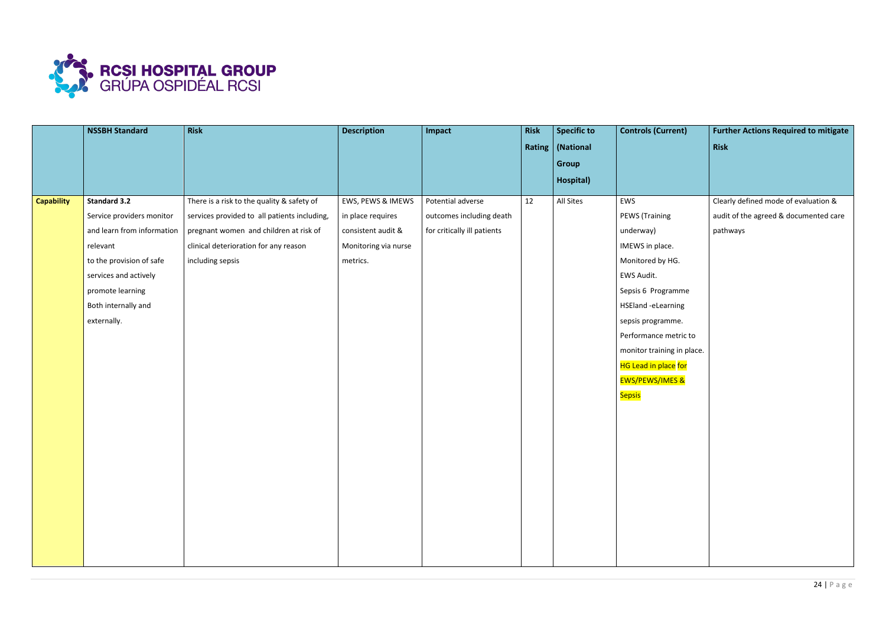

|                   | <b>NSSBH Standard</b>      | <b>Risk</b>                                  | <b>Description</b>   | Impact                      | <b>Risk</b> | <b>Specific to</b> | <b>Controls (Current)</b>  | <b>Further Actions Required to mitigate</b> |
|-------------------|----------------------------|----------------------------------------------|----------------------|-----------------------------|-------------|--------------------|----------------------------|---------------------------------------------|
|                   |                            |                                              |                      |                             |             | Rating   (National |                            | Risk                                        |
|                   |                            |                                              |                      |                             |             | Group              |                            |                                             |
|                   |                            |                                              |                      |                             |             | Hospital)          |                            |                                             |
| <b>Capability</b> | <b>Standard 3.2</b>        | There is a risk to the quality & safety of   | EWS, PEWS & IMEWS    | Potential adverse           | 12          | All Sites          | EWS                        | Clearly defined mode of evaluation &        |
|                   | Service providers monitor  | services provided to all patients including, | in place requires    | outcomes including death    |             |                    | <b>PEWS (Training</b>      | audit of the agreed & documented care       |
|                   | and learn from information | pregnant women and children at risk of       | consistent audit &   | for critically ill patients |             |                    | underway)                  | pathways                                    |
|                   | relevant                   | clinical deterioration for any reason        | Monitoring via nurse |                             |             |                    | IMEWS in place.            |                                             |
|                   | to the provision of safe   | including sepsis                             | metrics.             |                             |             |                    | Monitored by HG.           |                                             |
|                   | services and actively      |                                              |                      |                             |             |                    | EWS Audit.                 |                                             |
|                   | promote learning           |                                              |                      |                             |             |                    | Sepsis 6 Programme         |                                             |
|                   | Both internally and        |                                              |                      |                             |             |                    | HSEland -eLearning         |                                             |
|                   | externally.                |                                              |                      |                             |             |                    | sepsis programme.          |                                             |
|                   |                            |                                              |                      |                             |             |                    | Performance metric to      |                                             |
|                   |                            |                                              |                      |                             |             |                    | monitor training in place. |                                             |
|                   |                            |                                              |                      |                             |             |                    | HG Lead in place for       |                                             |
|                   |                            |                                              |                      |                             |             |                    | <b>EWS/PEWS/IMES &amp;</b> |                                             |
|                   |                            |                                              |                      |                             |             |                    | <b>Sepsis</b>              |                                             |
|                   |                            |                                              |                      |                             |             |                    |                            |                                             |
|                   |                            |                                              |                      |                             |             |                    |                            |                                             |
|                   |                            |                                              |                      |                             |             |                    |                            |                                             |
|                   |                            |                                              |                      |                             |             |                    |                            |                                             |
|                   |                            |                                              |                      |                             |             |                    |                            |                                             |
|                   |                            |                                              |                      |                             |             |                    |                            |                                             |
|                   |                            |                                              |                      |                             |             |                    |                            |                                             |
|                   |                            |                                              |                      |                             |             |                    |                            |                                             |
|                   |                            |                                              |                      |                             |             |                    |                            |                                             |
|                   |                            |                                              |                      |                             |             |                    |                            |                                             |
|                   |                            |                                              |                      |                             |             |                    |                            |                                             |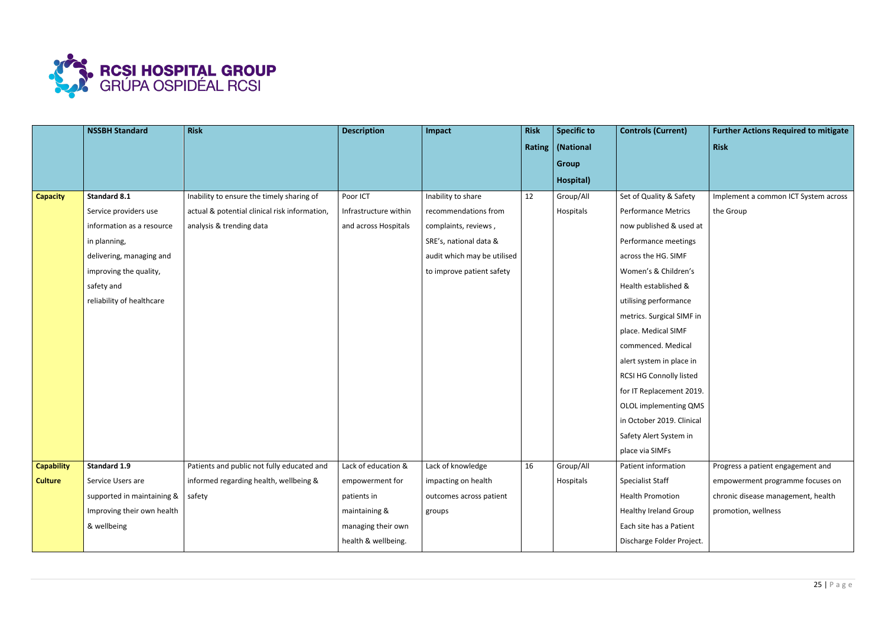

|                   | <b>NSSBH Standard</b>                  | <b>Risk</b>                                   | <b>Description</b>    | Impact                      | <b>Risk</b> | <b>Specific to</b> | <b>Controls (Current)</b>    | <b>Further Actions Required to mitigate</b> |
|-------------------|----------------------------------------|-----------------------------------------------|-----------------------|-----------------------------|-------------|--------------------|------------------------------|---------------------------------------------|
|                   |                                        |                                               |                       |                             |             | Rating   (National |                              | <b>Risk</b>                                 |
|                   |                                        |                                               |                       |                             |             | <b>Group</b>       |                              |                                             |
|                   |                                        |                                               |                       |                             |             | Hospital)          |                              |                                             |
| <b>Capacity</b>   | <b>Standard 8.1</b>                    | Inability to ensure the timely sharing of     | Poor ICT              | Inability to share          | 12          | Group/All          | Set of Quality & Safety      | Implement a common ICT System across        |
|                   | Service providers use                  | actual & potential clinical risk information, | Infrastructure within | recommendations from        |             | Hospitals          | <b>Performance Metrics</b>   | the Group                                   |
|                   | information as a resource              | analysis & trending data                      | and across Hospitals  | complaints, reviews,        |             |                    | now published & used at      |                                             |
|                   | in planning,                           |                                               |                       | SRE's, national data &      |             |                    | Performance meetings         |                                             |
|                   | delivering, managing and               |                                               |                       | audit which may be utilised |             |                    | across the HG. SIMF          |                                             |
|                   | improving the quality,                 |                                               |                       | to improve patient safety   |             |                    | Women's & Children's         |                                             |
|                   | safety and                             |                                               |                       |                             |             |                    | Health established &         |                                             |
|                   | reliability of healthcare              |                                               |                       |                             |             |                    | utilising performance        |                                             |
|                   |                                        |                                               |                       |                             |             |                    | metrics. Surgical SIMF in    |                                             |
|                   |                                        |                                               |                       |                             |             |                    | place. Medical SIMF          |                                             |
|                   |                                        |                                               |                       |                             |             |                    | commenced. Medical           |                                             |
|                   |                                        |                                               |                       |                             |             |                    | alert system in place in     |                                             |
|                   |                                        |                                               |                       |                             |             |                    | RCSI HG Connolly listed      |                                             |
|                   |                                        |                                               |                       |                             |             |                    | for IT Replacement 2019.     |                                             |
|                   |                                        |                                               |                       |                             |             |                    | OLOL implementing QMS        |                                             |
|                   |                                        |                                               |                       |                             |             |                    | in October 2019. Clinical    |                                             |
|                   |                                        |                                               |                       |                             |             |                    | Safety Alert System in       |                                             |
|                   |                                        |                                               |                       |                             |             |                    | place via SIMFs              |                                             |
| <b>Capability</b> | Standard 1.9                           | Patients and public not fully educated and    | Lack of education &   | Lack of knowledge           | 16          | Group/All          | Patient information          | Progress a patient engagement and           |
| <b>Culture</b>    | Service Users are                      | informed regarding health, wellbeing &        | empowerment for       | impacting on health         |             | Hospitals          | <b>Specialist Staff</b>      | empowerment programme focuses on            |
|                   | supported in maintaining $\&$   safety |                                               | patients in           | outcomes across patient     |             |                    | <b>Health Promotion</b>      | chronic disease management, health          |
|                   | Improving their own health             |                                               | maintaining &         | groups                      |             |                    | <b>Healthy Ireland Group</b> | promotion, wellness                         |
|                   | & wellbeing                            |                                               | managing their own    |                             |             |                    | Each site has a Patient      |                                             |
|                   |                                        |                                               | health & wellbeing.   |                             |             |                    | Discharge Folder Project.    |                                             |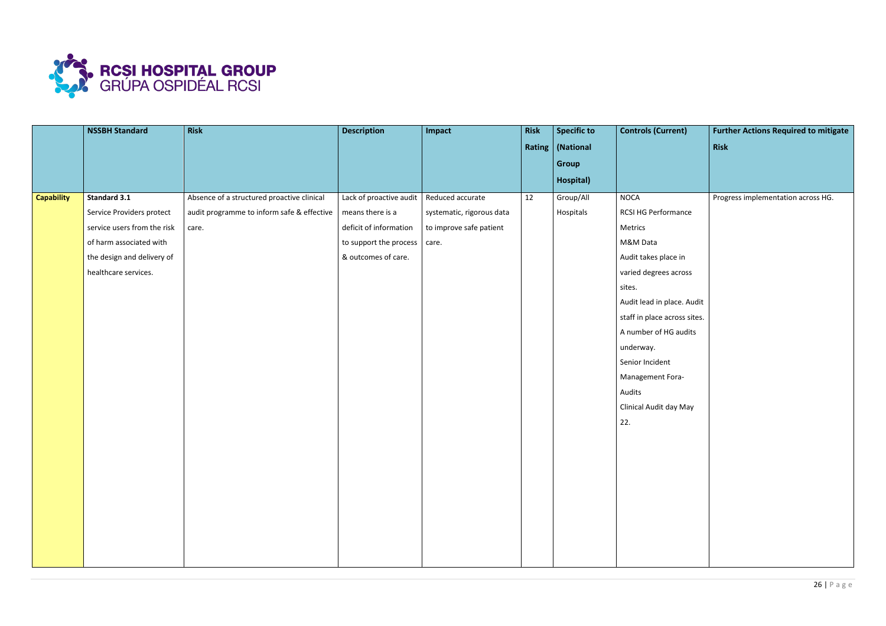

|                   | <b>NSSBH Standard</b>       | <b>Risk</b>                                | <b>Description</b>      | Impact                    | <b>Risk</b> | <b>Specific to</b> | <b>Controls (Current)</b>    | <b>Further Actions Required to mitigate</b> |
|-------------------|-----------------------------|--------------------------------------------|-------------------------|---------------------------|-------------|--------------------|------------------------------|---------------------------------------------|
|                   |                             |                                            |                         |                           |             | Rating   (National |                              | Risk                                        |
|                   |                             |                                            |                         |                           |             | Group              |                              |                                             |
|                   |                             |                                            |                         |                           |             | Hospital)          |                              |                                             |
| <b>Capability</b> | <b>Standard 3.1</b>         | Absence of a structured proactive clinical | Lack of proactive audit | Reduced accurate          | 12          | Group/All          | <b>NOCA</b>                  | Progress implementation across HG.          |
|                   | Service Providers protect   | audit programme to inform safe & effective | means there is a        | systematic, rigorous data |             | Hospitals          | RCSI HG Performance          |                                             |
|                   | service users from the risk | care.                                      | deficit of information  | to improve safe patient   |             |                    | Metrics                      |                                             |
|                   | of harm associated with     |                                            | to support the process  | care.                     |             |                    | M&M Data                     |                                             |
|                   | the design and delivery of  |                                            | & outcomes of care.     |                           |             |                    | Audit takes place in         |                                             |
|                   | healthcare services.        |                                            |                         |                           |             |                    | varied degrees across        |                                             |
|                   |                             |                                            |                         |                           |             |                    | sites.                       |                                             |
|                   |                             |                                            |                         |                           |             |                    | Audit lead in place. Audit   |                                             |
|                   |                             |                                            |                         |                           |             |                    | staff in place across sites. |                                             |
|                   |                             |                                            |                         |                           |             |                    | A number of HG audits        |                                             |
|                   |                             |                                            |                         |                           |             |                    | underway.                    |                                             |
|                   |                             |                                            |                         |                           |             |                    | Senior Incident              |                                             |
|                   |                             |                                            |                         |                           |             |                    | Management Fora-             |                                             |
|                   |                             |                                            |                         |                           |             |                    | Audits                       |                                             |
|                   |                             |                                            |                         |                           |             |                    | Clinical Audit day May       |                                             |
|                   |                             |                                            |                         |                           |             |                    | 22.                          |                                             |
|                   |                             |                                            |                         |                           |             |                    |                              |                                             |
|                   |                             |                                            |                         |                           |             |                    |                              |                                             |
|                   |                             |                                            |                         |                           |             |                    |                              |                                             |
|                   |                             |                                            |                         |                           |             |                    |                              |                                             |
|                   |                             |                                            |                         |                           |             |                    |                              |                                             |
|                   |                             |                                            |                         |                           |             |                    |                              |                                             |
|                   |                             |                                            |                         |                           |             |                    |                              |                                             |
|                   |                             |                                            |                         |                           |             |                    |                              |                                             |
|                   |                             |                                            |                         |                           |             |                    |                              |                                             |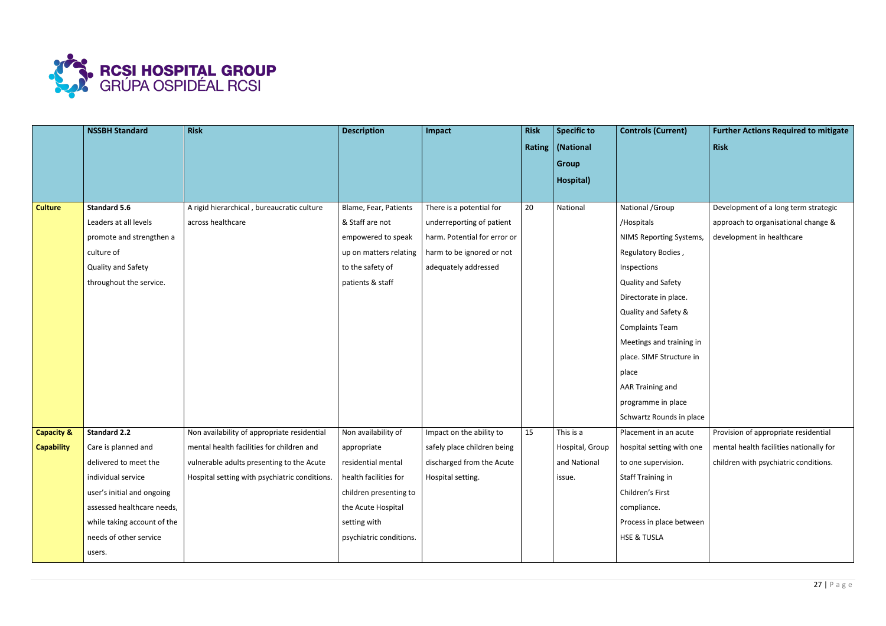

|                       | <b>NSSBH Standard</b>       | <b>Risk</b>                                   | <b>Description</b>      | Impact                       | <b>Risk</b> | <b>Specific to</b> | <b>Controls (Current)</b> | <b>Further Actions Required to mitigate</b> |
|-----------------------|-----------------------------|-----------------------------------------------|-------------------------|------------------------------|-------------|--------------------|---------------------------|---------------------------------------------|
|                       |                             |                                               |                         |                              |             | Rating   (National |                           | <b>Risk</b>                                 |
|                       |                             |                                               |                         |                              |             | Group              |                           |                                             |
|                       |                             |                                               |                         |                              |             | Hospital)          |                           |                                             |
|                       |                             |                                               |                         |                              |             |                    |                           |                                             |
| <b>Culture</b>        | <b>Standard 5.6</b>         | A rigid hierarchical, bureaucratic culture    | Blame, Fear, Patients   | There is a potential for     | 20          | National           | National / Group          | Development of a long term strategic        |
|                       | Leaders at all levels       | across healthcare                             | & Staff are not         | underreporting of patient    |             |                    | /Hospitals                | approach to organisational change &         |
|                       | promote and strengthen a    |                                               | empowered to speak      | harm. Potential for error or |             |                    | NIMS Reporting Systems,   | development in healthcare                   |
|                       | culture of                  |                                               | up on matters relating  | harm to be ignored or not    |             |                    | Regulatory Bodies,        |                                             |
|                       | Quality and Safety          |                                               | to the safety of        | adequately addressed         |             |                    | Inspections               |                                             |
|                       | throughout the service.     |                                               | patients & staff        |                              |             |                    | Quality and Safety        |                                             |
|                       |                             |                                               |                         |                              |             |                    | Directorate in place.     |                                             |
|                       |                             |                                               |                         |                              |             |                    | Quality and Safety &      |                                             |
|                       |                             |                                               |                         |                              |             |                    | <b>Complaints Team</b>    |                                             |
|                       |                             |                                               |                         |                              |             |                    | Meetings and training in  |                                             |
|                       |                             |                                               |                         |                              |             |                    | place. SIMF Structure in  |                                             |
|                       |                             |                                               |                         |                              |             |                    | place                     |                                             |
|                       |                             |                                               |                         |                              |             |                    | AAR Training and          |                                             |
|                       |                             |                                               |                         |                              |             |                    | programme in place        |                                             |
|                       |                             |                                               |                         |                              |             |                    | Schwartz Rounds in place  |                                             |
| <b>Capacity &amp;</b> | <b>Standard 2.2</b>         | Non availability of appropriate residential   | Non availability of     | Impact on the ability to     | 15          | This is a          | Placement in an acute     | Provision of appropriate residential        |
| <b>Capability</b>     | Care is planned and         | mental health facilities for children and     | appropriate             | safely place children being  |             | Hospital, Group    | hospital setting with one | mental health facilities nationally for     |
|                       | delivered to meet the       | vulnerable adults presenting to the Acute     | residential mental      | discharged from the Acute    |             | and National       | to one supervision.       | children with psychiatric conditions.       |
|                       | individual service          | Hospital setting with psychiatric conditions. | health facilities for   | Hospital setting.            |             | issue.             | <b>Staff Training in</b>  |                                             |
|                       | user's initial and ongoing  |                                               | children presenting to  |                              |             |                    | Children's First          |                                             |
|                       | assessed healthcare needs,  |                                               | the Acute Hospital      |                              |             |                    | compliance.               |                                             |
|                       | while taking account of the |                                               | setting with            |                              |             |                    | Process in place between  |                                             |
|                       | needs of other service      |                                               | psychiatric conditions. |                              |             |                    | <b>HSE &amp; TUSLA</b>    |                                             |
|                       | users.                      |                                               |                         |                              |             |                    |                           |                                             |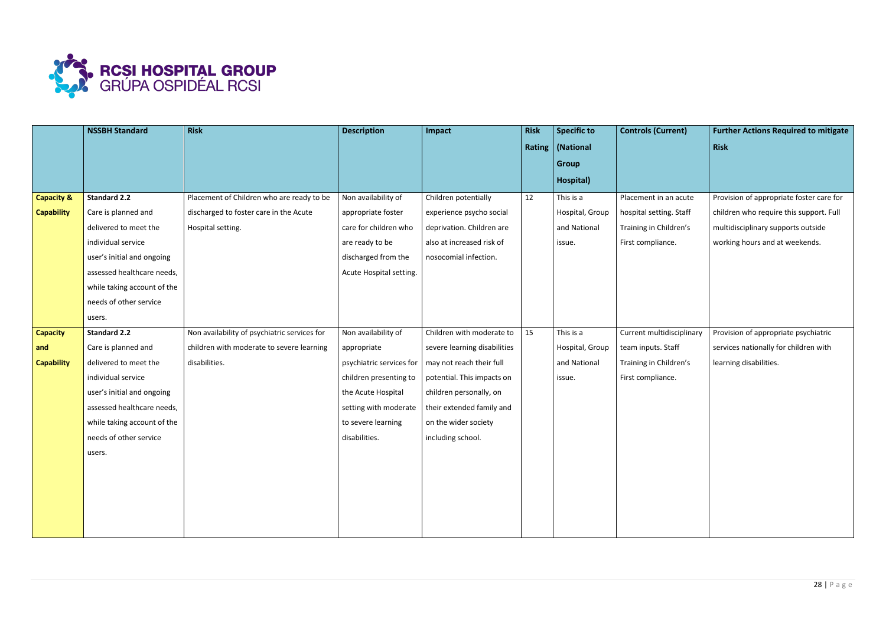

|                       | <b>NSSBH Standard</b>       | <b>Risk</b>                                  | <b>Description</b>       | Impact                       | <b>Risk</b> | <b>Specific to</b> | <b>Controls (Current)</b> | <b>Further Actions Required to mitigate</b> |
|-----------------------|-----------------------------|----------------------------------------------|--------------------------|------------------------------|-------------|--------------------|---------------------------|---------------------------------------------|
|                       |                             |                                              |                          |                              |             | Rating   (National |                           | <b>Risk</b>                                 |
|                       |                             |                                              |                          |                              |             | <b>Group</b>       |                           |                                             |
|                       |                             |                                              |                          |                              |             | Hospital)          |                           |                                             |
| <b>Capacity &amp;</b> | <b>Standard 2.2</b>         | Placement of Children who are ready to be    | Non availability of      | Children potentially         | 12          | This is a          | Placement in an acute     | Provision of appropriate foster care for    |
| <b>Capability</b>     | Care is planned and         | discharged to foster care in the Acute       | appropriate foster       | experience psycho social     |             | Hospital, Group    | hospital setting. Staff   | children who require this support. Full     |
|                       | delivered to meet the       | Hospital setting.                            | care for children who    | deprivation. Children are    |             | and National       | Training in Children's    | multidisciplinary supports outside          |
|                       | individual service          |                                              | are ready to be          | also at increased risk of    |             | issue.             | First compliance.         | working hours and at weekends.              |
|                       | user's initial and ongoing  |                                              | discharged from the      | nosocomial infection.        |             |                    |                           |                                             |
|                       | assessed healthcare needs,  |                                              | Acute Hospital setting.  |                              |             |                    |                           |                                             |
|                       | while taking account of the |                                              |                          |                              |             |                    |                           |                                             |
|                       | needs of other service      |                                              |                          |                              |             |                    |                           |                                             |
|                       | users.                      |                                              |                          |                              |             |                    |                           |                                             |
| <b>Capacity</b>       | <b>Standard 2.2</b>         | Non availability of psychiatric services for | Non availability of      | Children with moderate to    | 15          | This is a          | Current multidisciplinary | Provision of appropriate psychiatric        |
| and                   | Care is planned and         | children with moderate to severe learning    | appropriate              | severe learning disabilities |             | Hospital, Group    | team inputs. Staff        | services nationally for children with       |
| <b>Capability</b>     | delivered to meet the       | disabilities.                                | psychiatric services for | may not reach their full     |             | and National       | Training in Children's    | learning disabilities.                      |
|                       | individual service          |                                              | children presenting to   | potential. This impacts on   |             | issue.             | First compliance.         |                                             |
|                       | user's initial and ongoing  |                                              | the Acute Hospital       | children personally, on      |             |                    |                           |                                             |
|                       | assessed healthcare needs,  |                                              | setting with moderate    | their extended family and    |             |                    |                           |                                             |
|                       | while taking account of the |                                              | to severe learning       | on the wider society         |             |                    |                           |                                             |
|                       | needs of other service      |                                              | disabilities.            | including school.            |             |                    |                           |                                             |
|                       | users.                      |                                              |                          |                              |             |                    |                           |                                             |
|                       |                             |                                              |                          |                              |             |                    |                           |                                             |
|                       |                             |                                              |                          |                              |             |                    |                           |                                             |
|                       |                             |                                              |                          |                              |             |                    |                           |                                             |
|                       |                             |                                              |                          |                              |             |                    |                           |                                             |
|                       |                             |                                              |                          |                              |             |                    |                           |                                             |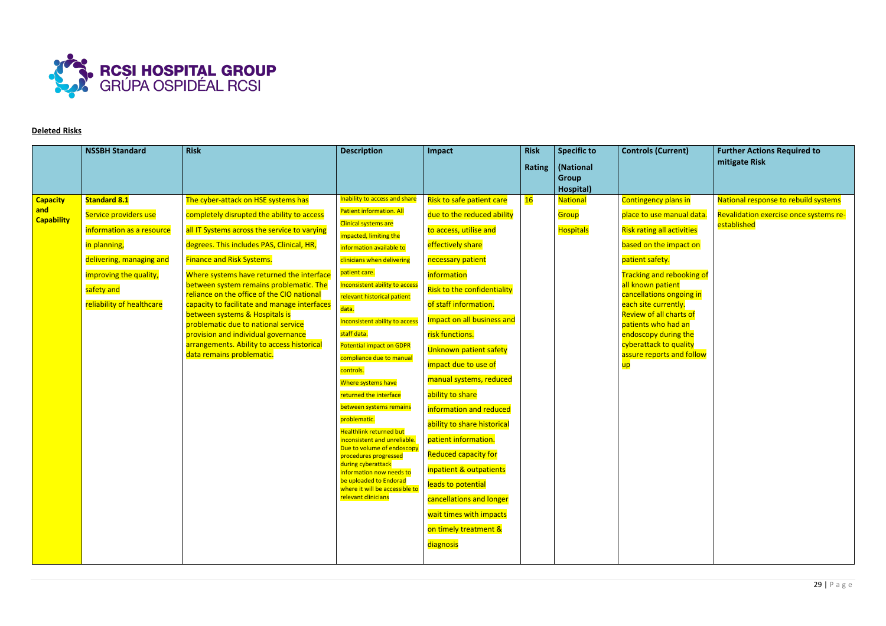

# **Deleted Risks**

|                        | <b>NSSBH Standard</b>     | <b>Risk</b>                                                                           | <b>Description</b>                                            | Impact                      | <b>Risk</b>   | <b>Specific to</b> | <b>Controls (Current)</b>                             | <b>Further Actions Required to</b>                    |
|------------------------|---------------------------|---------------------------------------------------------------------------------------|---------------------------------------------------------------|-----------------------------|---------------|--------------------|-------------------------------------------------------|-------------------------------------------------------|
|                        |                           |                                                                                       |                                                               |                             | <b>Rating</b> | (National          |                                                       | mitigate Risk                                         |
|                        |                           |                                                                                       |                                                               |                             |               | <b>Group</b>       |                                                       |                                                       |
|                        |                           |                                                                                       |                                                               |                             |               | Hospital)          |                                                       |                                                       |
| <b>Capacity</b><br>and | <b>Standard 8.1</b>       | The cyber-attack on HSE systems has                                                   | Inability to access and share                                 | Risk to safe patient care   | 16            | <b>Nationa</b>     | <b>Contingency plans in</b>                           | National response to rebuild systems                  |
| <b>Capability</b>      | Service providers use     | completely disrupted the ability to access                                            | Patient information. All<br>Clinical systems are              | due to the reduced ability  |               | Group              | place to use manual data                              | Revalidation exercise once systems re-<br>established |
|                        | information as a resource | all IT Systems across the service to varying                                          | impacted, limiting the                                        | to access, utilise and      |               | Hospitals          | <b>Risk rating all activities</b>                     |                                                       |
|                        | in planning,              | degrees. This includes PAS, Clinical, HR,                                             | information available to                                      | effectively share           |               |                    | based on the impact on                                |                                                       |
|                        | delivering, managing and  | <b>Finance and Risk Systems.</b>                                                      | clinicians when delivering                                    | necessary patient           |               |                    | patient safety.                                       |                                                       |
|                        | improving the quality,    | Where systems have returned the interface                                             | patient care.                                                 | <i>information</i>          |               |                    | <b>Tracking and rebooking of</b>                      |                                                       |
|                        | safety and                | between system remains problematic. The<br>reliance on the office of the CIO national | Inconsistent ability to access<br>relevant historical patient | Risk to the confidentiality |               |                    | all known patient<br>cancellations ongoing in         |                                                       |
|                        | reliability of healthcare | capacity to facilitate and manage interfaces                                          | data.                                                         | of staff information.       |               |                    | each site currently.                                  |                                                       |
|                        |                           | between systems & Hospitals is<br>problematic due to national service                 | Inconsistent ability to access                                | Impact on all business and  |               |                    | <b>Review of all charts of</b><br>patients who had an |                                                       |
|                        |                           | provision and individual governance                                                   | staff data.                                                   | risk functions.             |               |                    | endoscopy during the                                  |                                                       |
|                        |                           | arrangements. Ability to access historical<br>data remains problematic.               | <b>Potential impact on GDPR</b>                               | Unknown patient safety      |               |                    | cyberattack to quality<br>assure reports and follow   |                                                       |
|                        |                           |                                                                                       | compliance due to manual<br>controls.                         | impact due to use of        |               |                    | up                                                    |                                                       |
|                        |                           |                                                                                       | Where systems have                                            | manual systems, reduced     |               |                    |                                                       |                                                       |
|                        |                           |                                                                                       | returned the interface                                        | ability to share            |               |                    |                                                       |                                                       |
|                        |                           |                                                                                       | between systems remains                                       | information and reduced     |               |                    |                                                       |                                                       |
|                        |                           |                                                                                       | problematic.<br><b>Healthlink returned but</b>                | ability to share historical |               |                    |                                                       |                                                       |
|                        |                           |                                                                                       | inconsistent and unreliable.                                  | patient information.        |               |                    |                                                       |                                                       |
|                        |                           |                                                                                       | Due to volume of endoscopy<br>procedures progressed           | <b>Reduced capacity for</b> |               |                    |                                                       |                                                       |
|                        |                           |                                                                                       | during cyberattack<br>information now needs to                | inpatient & outpatients     |               |                    |                                                       |                                                       |
|                        |                           |                                                                                       | be uploaded to Endorad<br>where it will be accessible to      | leads to potential          |               |                    |                                                       |                                                       |
|                        |                           |                                                                                       | relevant clinicians                                           | cancellations and longer    |               |                    |                                                       |                                                       |
|                        |                           |                                                                                       |                                                               | wait times with impacts     |               |                    |                                                       |                                                       |
|                        |                           |                                                                                       |                                                               | on timely treatment &       |               |                    |                                                       |                                                       |
|                        |                           |                                                                                       |                                                               | diagnosis                   |               |                    |                                                       |                                                       |
|                        |                           |                                                                                       |                                                               |                             |               |                    |                                                       |                                                       |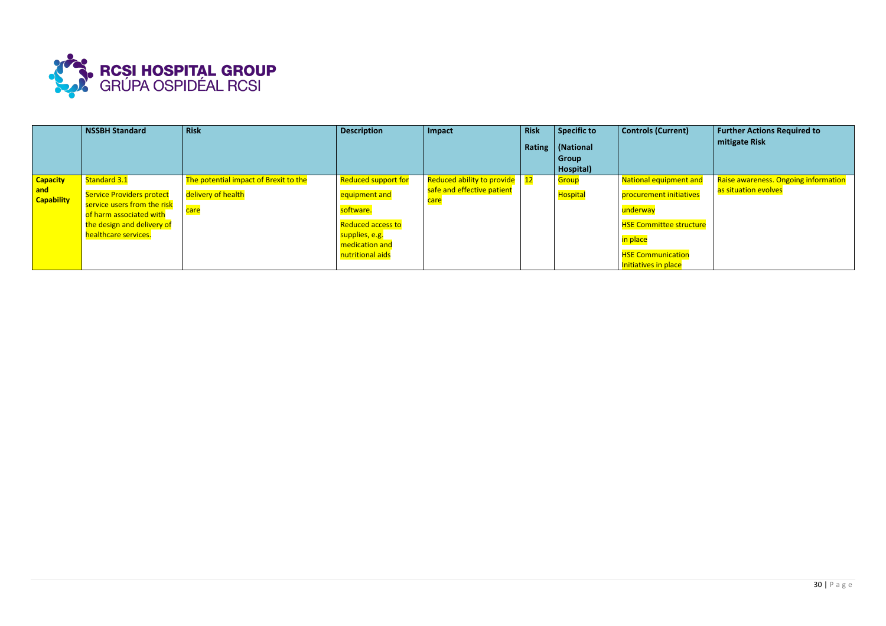

|                                             | <b>NSSBH Standard</b>                                                                                                                                            | <b>Risk</b>                                                                      | <b>Description</b>                                                                                                             | Impact                                                                        | <b>Risk</b> | <b>Specific to</b><br>Rating   (National<br><b>Group</b><br>Hospital) | <b>Controls (Current)</b>                                                                                                                                              | Further Actions Required to<br>mitigate Risk                 |
|---------------------------------------------|------------------------------------------------------------------------------------------------------------------------------------------------------------------|----------------------------------------------------------------------------------|--------------------------------------------------------------------------------------------------------------------------------|-------------------------------------------------------------------------------|-------------|-----------------------------------------------------------------------|------------------------------------------------------------------------------------------------------------------------------------------------------------------------|--------------------------------------------------------------|
| <b>Capacity</b><br>and<br><b>Capability</b> | Standard 3.1<br><b>Service Providers protect</b><br>service users from the risk<br>of harm associated with<br>the design and delivery of<br>healthcare services. | The potential impact of Brexit to the<br>delivery of health<br><mark>care</mark> | Reduced support for<br>equipment and<br>software.<br>Reduced access to<br>supplies, e.g.<br>medication and<br>nutritional aids | Reduced ability to provide<br>safe and effective patient<br><mark>care</mark> | 12          | <b>Group</b><br><b>Hospita</b>                                        | <b>National equipment and</b><br>procurement initiatives<br>underway<br><b>HSE Committee structure</b><br>in place<br><b>HSE Communication</b><br>Initiatives in place | Raise awareness. Ongoing information<br>as situation evolves |